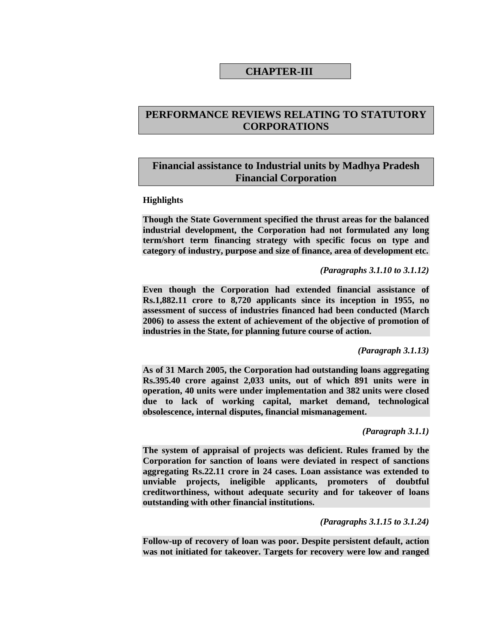# **CHAPTER-III**

# **PERFORMANCE REVIEWS RELATING TO STATUTORY CORPORATIONS**

# **Financial assistance to Industrial units by Madhya Pradesh Financial Corporation**

#### **Highlights**

**Though the State Government specified the thrust areas for the balanced industrial development, the Corporation had not formulated any long term/short term financing strategy with specific focus on type and category of industry, purpose and size of finance, area of development etc.** 

*(Paragraphs 3.1.10 to 3.1.12)* 

**Even though the Corporation had extended financial assistance of Rs.1,882.11 crore to 8,720 applicants since its inception in 1955, no assessment of success of industries financed had been conducted (March 2006) to assess the extent of achievement of the objective of promotion of industries in the State, for planning future course of action.** 

*(Paragraph 3.1.13)* 

**As of 31 March 2005, the Corporation had outstanding loans aggregating Rs.395.40 crore against 2,033 units, out of which 891 units were in operation, 40 units were under implementation and 382 units were closed due to lack of working capital, market demand, technological obsolescence, internal disputes, financial mismanagement.** 

*(Paragraph 3.1.1)* 

**The system of appraisal of projects was deficient. Rules framed by the Corporation for sanction of loans were deviated in respect of sanctions aggregating Rs.22.11 crore in 24 cases. Loan assistance was extended to unviable projects, ineligible applicants, promoters of doubtful creditworthiness, without adequate security and for takeover of loans outstanding with other financial institutions.** 

*(Paragraphs 3.1.15 to 3.1.24)* 

**Follow-up of recovery of loan was poor. Despite persistent default, action was not initiated for takeover. Targets for recovery were low and ranged**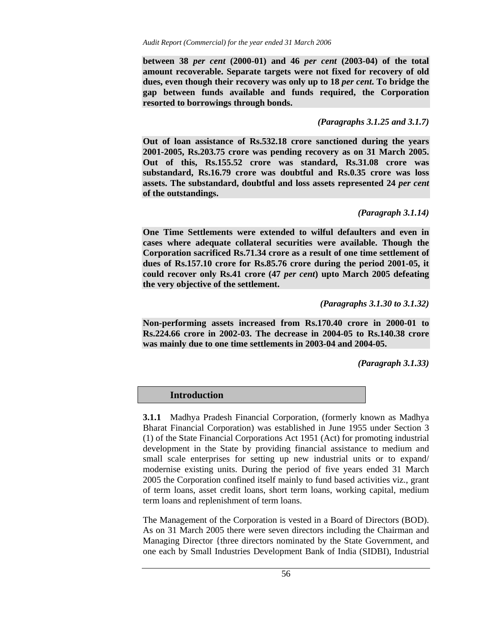**between 38** *per cent* **(2000-01) and 46** *per cent* **(2003-04) of the total amount recoverable. Separate targets were not fixed for recovery of old dues, even though their recovery was only up to 18** *per cent***. To bridge the gap between funds available and funds required, the Corporation resorted to borrowings through bonds.** 

## *(Paragraphs 3.1.25 and 3.1.7)*

**Out of loan assistance of Rs.532.18 crore sanctioned during the years 2001-2005, Rs.203.75 crore was pending recovery as on 31 March 2005. Out of this, Rs.155.52 crore was standard, Rs.31.08 crore was substandard, Rs.16.79 crore was doubtful and Rs.0.35 crore was loss assets. The substandard, doubtful and loss assets represented 24** *per cent* **of the outstandings.** 

# *(Paragraph 3.1.14)*

**One Time Settlements were extended to wilful defaulters and even in cases where adequate collateral securities were available. Though the Corporation sacrificed Rs.71.34 crore as a result of one time settlement of dues of Rs.157.10 crore for Rs.85.76 crore during the period 2001-05, it could recover only Rs.41 crore (47** *per cent***) upto March 2005 defeating the very objective of the settlement.** 

*(Paragraphs 3.1.30 to 3.1.32)* 

**Non-performing assets increased from Rs.170.40 crore in 2000-01 to Rs.224.66 crore in 2002-03. The decrease in 2004-05 to Rs.140.38 crore was mainly due to one time settlements in 2003-04 and 2004-05.** 

*(Paragraph 3.1.33)* 

 **Introduction** 

**3.1.1** Madhya Pradesh Financial Corporation, (formerly known as Madhya Bharat Financial Corporation) was established in June 1955 under Section 3 (1) of the State Financial Corporations Act 1951 (Act) for promoting industrial development in the State by providing financial assistance to medium and small scale enterprises for setting up new industrial units or to expand/ modernise existing units. During the period of five years ended 31 March 2005 the Corporation confined itself mainly to fund based activities viz., grant of term loans, asset credit loans, short term loans, working capital, medium term loans and replenishment of term loans.

The Management of the Corporation is vested in a Board of Directors (BOD). As on 31 March 2005 there were seven directors including the Chairman and Managing Director {three directors nominated by the State Government, and one each by Small Industries Development Bank of India (SIDBI), Industrial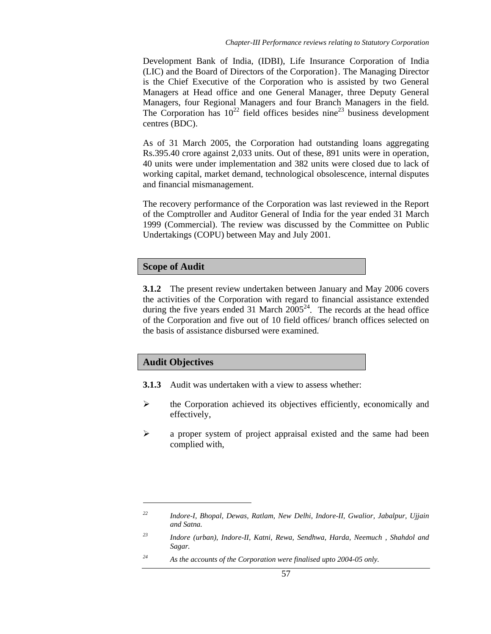Development Bank of India, (IDBI), Life Insurance Corporation of India (LIC) and the Board of Directors of the Corporation}. The Managing Director is the Chief Executive of the Corporation who is assisted by two General Managers at Head office and one General Manager, three Deputy General Managers, four Regional Managers and four Branch Managers in the field. The Corporation has  $10^{22}$  field offices besides nine<sup>23</sup> business development centres (BDC).

As of 31 March 2005, the Corporation had outstanding loans aggregating Rs.395.40 crore against 2,033 units. Out of these, 891 units were in operation, 40 units were under implementation and 382 units were closed due to lack of working capital, market demand, technological obsolescence, internal disputes and financial mismanagement.

The recovery performance of the Corporation was last reviewed in the Report of the Comptroller and Auditor General of India for the year ended 31 March 1999 (Commercial). The review was discussed by the Committee on Public Undertakings (COPU) between May and July 2001.

# **Scope of Audit**

**3.1.2** The present review undertaken between January and May 2006 covers the activities of the Corporation with regard to financial assistance extended during the five years ended 31 March  $2005^{24}$ . The records at the head office of the Corporation and five out of 10 field offices/ branch offices selected on the basis of assistance disbursed were examined.

# **Audit Objectives**

 $\overline{a}$ 

- **3.1.3** Audit was undertaken with a view to assess whether:
- ¾ the Corporation achieved its objectives efficiently, economically and effectively,
- ¾ a proper system of project appraisal existed and the same had been complied with,

*<sup>22</sup> Indore-I, Bhopal, Dewas, Ratlam, New Delhi, Indore-II, Gwalior, Jabalpur, Ujjain and Satna.* 

*<sup>23</sup> Indore (urban), Indore-II, Katni, Rewa, Sendhwa, Harda, Neemuch , Shahdol and Sagar.* 

*<sup>24</sup> As the accounts of the Corporation were finalised upto 2004-05 only.*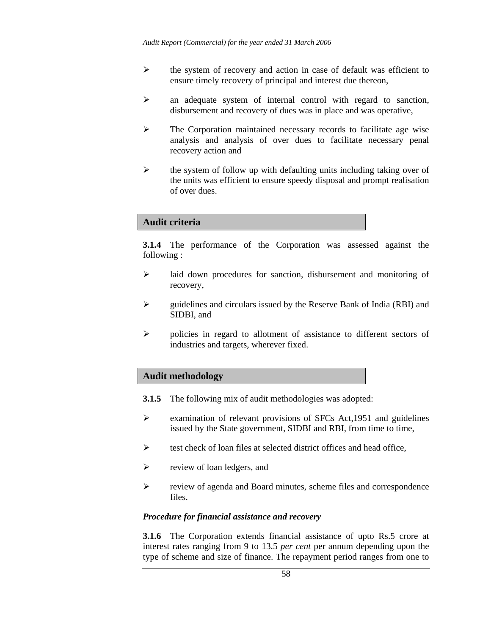- $\triangleright$  the system of recovery and action in case of default was efficient to ensure timely recovery of principal and interest due thereon,
- ¾ an adequate system of internal control with regard to sanction, disbursement and recovery of dues was in place and was operative,
- $\triangleright$  The Corporation maintained necessary records to facilitate age wise analysis and analysis of over dues to facilitate necessary penal recovery action and
- $\triangleright$  the system of follow up with defaulting units including taking over of the units was efficient to ensure speedy disposal and prompt realisation of over dues.

### **Audit criteria**

**3.1.4** The performance of the Corporation was assessed against the following :

- ¾ laid down procedures for sanction, disbursement and monitoring of recovery,
- $\triangleright$  guidelines and circulars issued by the Reserve Bank of India (RBI) and SIDBI, and
- ¾ policies in regard to allotment of assistance to different sectors of industries and targets, wherever fixed.

#### **Audit methodology**

- **3.1.5** The following mix of audit methodologies was adopted:
- ¾ examination of relevant provisions of SFCs Act,1951 and guidelines issued by the State government, SIDBI and RBI, from time to time,
- $\triangleright$  test check of loan files at selected district offices and head office,
- $\triangleright$  review of loan ledgers, and
- ¾ review of agenda and Board minutes, scheme files and correspondence files.

#### *Procedure for financial assistance and recovery*

**3.1.6** The Corporation extends financial assistance of upto Rs.5 crore at interest rates ranging from 9 to 13.5 *per cent* per annum depending upon the type of scheme and size of finance. The repayment period ranges from one to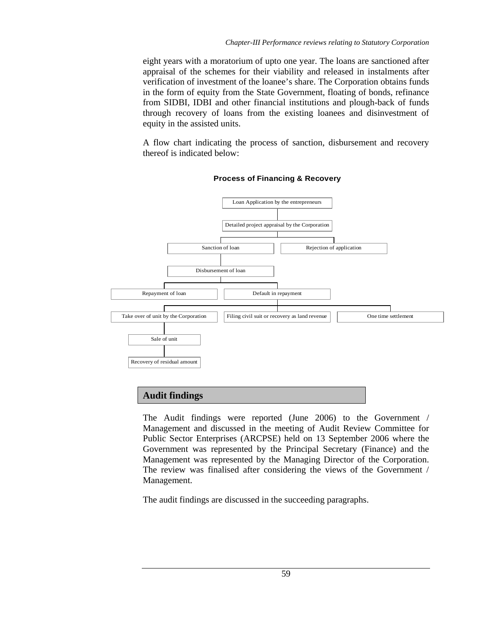eight years with a moratorium of upto one year. The loans are sanctioned after appraisal of the schemes for their viability and released in instalments after verification of investment of the loanee's share. The Corporation obtains funds in the form of equity from the State Government, floating of bonds, refinance from SIDBI, IDBI and other financial institutions and plough-back of funds through recovery of loans from the existing loanees and disinvestment of equity in the assisted units.

A flow chart indicating the process of sanction, disbursement and recovery thereof is indicated below:



### **Process of Financing & Recovery**

# **Audit findings**

The Audit findings were reported (June 2006) to the Government / Management and discussed in the meeting of Audit Review Committee for Public Sector Enterprises (ARCPSE) held on 13 September 2006 where the Government was represented by the Principal Secretary (Finance) and the Management was represented by the Managing Director of the Corporation. The review was finalised after considering the views of the Government / Management.

The audit findings are discussed in the succeeding paragraphs.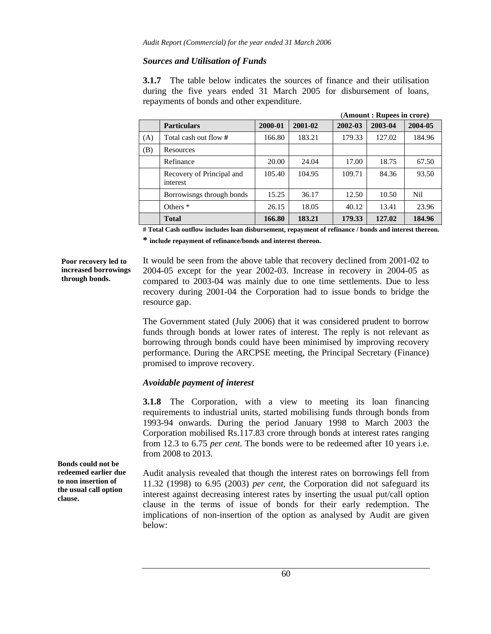## *Sources and Utilisation of Funds*

**3.1.7** The table below indicates the sources of finance and their utilisation during the five years ended 31 March 2005 for disbursement of loans, repayments of bonds and other expenditure.

|     | (Amount: Rupees in crore)             |         |         |         |         |         |
|-----|---------------------------------------|---------|---------|---------|---------|---------|
|     | <b>Particulars</b>                    | 2000-01 | 2001-02 | 2002-03 | 2003-04 | 2004-05 |
| (A) | Total cash out flow #                 | 166.80  | 183.21  | 179.33  | 127.02  | 184.96  |
| (B) | Resources                             |         |         |         |         |         |
|     | Refinance                             | 20.00   | 24.04   | 17.00   | 18.75   | 67.50   |
|     | Recovery of Principal and<br>interest | 105.40  | 104.95  | 109.71  | 84.36   | 93.50   |
|     | Borrowisngs through bonds             | 15.25   | 36.17   | 12.50   | 10.50   | Nil.    |
|     | Others $*$                            | 26.15   | 18.05   | 40.12   | 13.41   | 23.96   |
|     | <b>Total</b>                          | 166.80  | 183.21  | 179.33  | 127.02  | 184.96  |

**# Total Cash outflow includes loan disbursement, repayment of refinance / bonds and interest thereon.** 

**\* include repayment of refinance/bonds and interest thereon.** 

**Poor recovery led to increased borrowings through bonds.** 

It would be seen from the above table that recovery declined from 2001-02 to 2004-05 except for the year 2002-03. Increase in recovery in 2004-05 as compared to 2003-04 was mainly due to one time settlements. Due to less recovery during 2001-04 the Corporation had to issue bonds to bridge the resource gap.

The Government stated (July 2006) that it was considered prudent to borrow funds through bonds at lower rates of interest. The reply is not relevant as borrowing through bonds could have been minimised by improving recovery performance. During the ARCPSE meeting, the Principal Secretary (Finance) promised to improve recovery.

# *Avoidable payment of interest*

**3.1.8** The Corporation, with a view to meeting its loan financing requirements to industrial units, started mobilising funds through bonds from 1993-94 onwards. During the period January 1998 to March 2003 the Corporation mobilised Rs.117.83 crore through bonds at interest rates ranging from 12.3 to 6.75 *per cent*. The bonds were to be redeemed after 10 years i.e. from 2008 to 2013.

Audit analysis revealed that though the interest rates on borrowings fell from 11.32 (1998) to 6.95 (2003) *per cent,* the Corporation did not safeguard its interest against decreasing interest rates by inserting the usual put/call option clause in the terms of issue of bonds for their early redemption. The implications of non-insertion of the option as analysed by Audit are given below:

**Bonds could not be redeemed earlier due to non insertion of the usual call option clause.**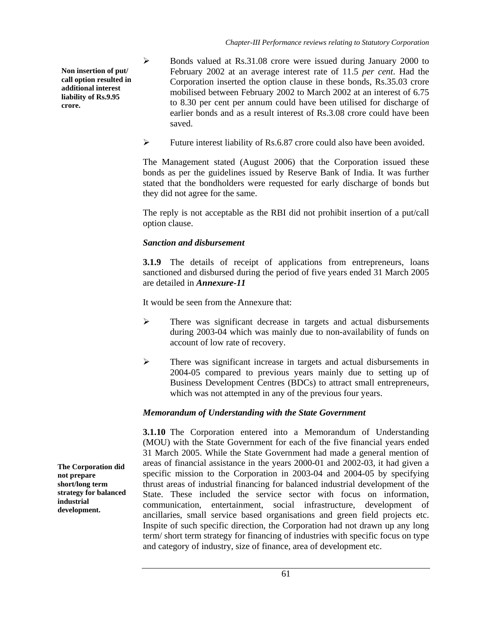**Non insertion of put/ call option resulted in additional interest liability of Rs.9.95 crore.** 

- ¾ Bonds valued at Rs.31.08 crore were issued during January 2000 to February 2002 at an average interest rate of 11.5 *per cent*. Had the Corporation inserted the option clause in these bonds, Rs.35.03 crore mobilised between February 2002 to March 2002 at an interest of 6.75 to 8.30 per cent per annum could have been utilised for discharge of earlier bonds and as a result interest of Rs.3.08 crore could have been saved.
- ¾ Future interest liability of Rs.6.87 crore could also have been avoided.

The Management stated (August 2006) that the Corporation issued these bonds as per the guidelines issued by Reserve Bank of India. It was further stated that the bondholders were requested for early discharge of bonds but they did not agree for the same.

The reply is not acceptable as the RBI did not prohibit insertion of a put/call option clause.

# *Sanction and disbursement*

**3.1.9** The details of receipt of applications from entrepreneurs, loans sanctioned and disbursed during the period of five years ended 31 March 2005 are detailed in *Annexure-11* 

It would be seen from the Annexure that:

- ¾ There was significant decrease in targets and actual disbursements during 2003-04 which was mainly due to non-availability of funds on account of low rate of recovery.
- ¾ There was significant increase in targets and actual disbursements in 2004-05 compared to previous years mainly due to setting up of Business Development Centres (BDCs) to attract small entrepreneurs, which was not attempted in any of the previous four years.

# *Memorandum of Understanding with the State Government*

**3.1.10** The Corporation entered into a Memorandum of Understanding (MOU) with the State Government for each of the five financial years ended 31 March 2005. While the State Government had made a general mention of areas of financial assistance in the years 2000-01 and 2002-03, it had given a specific mission to the Corporation in 2003-04 and 2004-05 by specifying thrust areas of industrial financing for balanced industrial development of the State. These included the service sector with focus on information, communication, entertainment, social infrastructure, development of ancillaries, small service based organisations and green field projects etc. Inspite of such specific direction, the Corporation had not drawn up any long term/ short term strategy for financing of industries with specific focus on type and category of industry, size of finance, area of development etc.

**The Corporation did not prepare short/long term strategy for balanced industrial development.**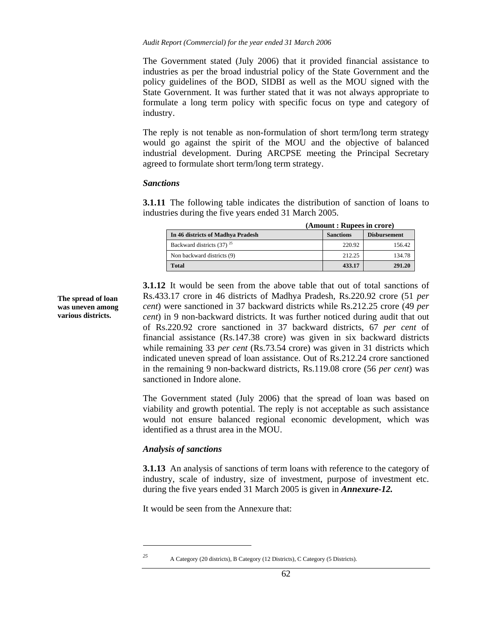The Government stated (July 2006) that it provided financial assistance to industries as per the broad industrial policy of the State Government and the policy guidelines of the BOD, SIDBI as well as the MOU signed with the State Government. It was further stated that it was not always appropriate to formulate a long term policy with specific focus on type and category of industry.

The reply is not tenable as non-formulation of short term/long term strategy would go against the spirit of the MOU and the objective of balanced industrial development. During ARCPSE meeting the Principal Secretary agreed to formulate short term/long term strategy.

#### *Sanctions*

**3.1.11** The following table indicates the distribution of sanction of loans to industries during the five years ended 31 March 2005.

|                                   | (Amount: Rupees in crore) |                     |  |  |
|-----------------------------------|---------------------------|---------------------|--|--|
| In 46 districts of Madhya Pradesh | <b>Sanctions</b>          | <b>Disbursement</b> |  |  |
| Backward districts $(37)^{25}$    | 220.92                    | 156.42              |  |  |
| Non backward districts (9)        | 212.25                    | 134.78              |  |  |
| <b>Total</b>                      | 433.17                    | 291.20              |  |  |

**3.1.12** It would be seen from the above table that out of total sanctions of Rs.433.17 crore in 46 districts of Madhya Pradesh, Rs.220.92 crore (51 *per cent*) were sanctioned in 37 backward districts while Rs.212.25 crore (49 *per cent*) in 9 non-backward districts. It was further noticed during audit that out of Rs.220.92 crore sanctioned in 37 backward districts, 67 *per cent* of financial assistance (Rs.147.38 crore) was given in six backward districts while remaining 33 *per cent* (Rs.73.54 crore) was given in 31 districts which indicated uneven spread of loan assistance. Out of Rs.212.24 crore sanctioned in the remaining 9 non-backward districts, Rs.119.08 crore (56 *per cent*) was sanctioned in Indore alone.

The Government stated (July 2006) that the spread of loan was based on viability and growth potential. The reply is not acceptable as such assistance would not ensure balanced regional economic development, which was identified as a thrust area in the MOU.

#### *Analysis of sanctions*

**3.1.13** An analysis of sanctions of term loans with reference to the category of industry, scale of industry, size of investment, purpose of investment etc. during the five years ended 31 March 2005 is given in *Annexure-12.* 

It would be seen from the Annexure that:

 $\overline{a}$ 

*25* A Category (20 districts), B Category (12 Districts), C Category (5 Districts).

**The spread of loan was uneven among various districts.**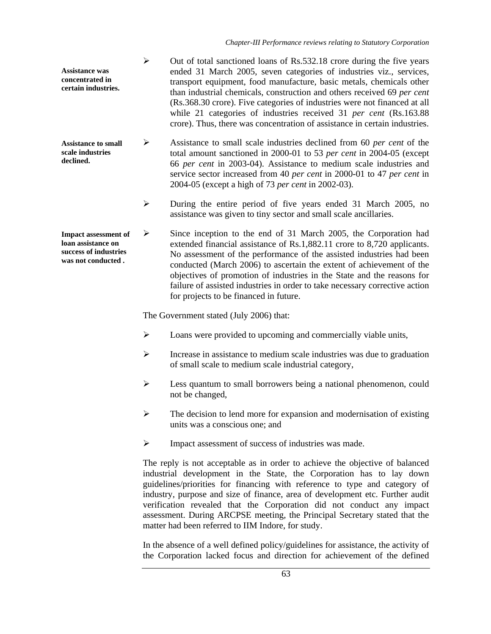| <b>Assistance was</b><br>concentrated in<br>certain industries. |  | Out of total sanctioned loans of Rs.532.18 crore during the five years<br>ended 31 March 2005, seven categories of industries viz., services,<br>transport equipment, food manufacture, basic metals, chemicals other<br>than industrial chemicals, construction and others received 69 per cent<br>(Rs.368.30 crore). Five categories of industries were not financed at all<br>while 21 categories of industries received 31 per cent (Rs.163.88)<br>crore). Thus, there was concentration of assistance in certain industries. |
|-----------------------------------------------------------------|--|-----------------------------------------------------------------------------------------------------------------------------------------------------------------------------------------------------------------------------------------------------------------------------------------------------------------------------------------------------------------------------------------------------------------------------------------------------------------------------------------------------------------------------------|
|-----------------------------------------------------------------|--|-----------------------------------------------------------------------------------------------------------------------------------------------------------------------------------------------------------------------------------------------------------------------------------------------------------------------------------------------------------------------------------------------------------------------------------------------------------------------------------------------------------------------------------|

- ¾ Assistance to small scale industries declined from 60 *per cent* of the total amount sanctioned in 2000-01 to 53 *per cent* in 2004-05 (except 66 *per cent* in 2003-04). Assistance to medium scale industries and service sector increased from 40 *per cent* in 2000-01 to 47 *per cent* in 2004-05 (except a high of 73 *per cent* in 2002-03). **Assistance to small scale industries declined.** 
	- ¾ During the entire period of five years ended 31 March 2005, no assistance was given to tiny sector and small scale ancillaries.
- ¾ Since inception to the end of 31 March 2005, the Corporation had extended financial assistance of Rs.1,882.11 crore to 8,720 applicants. No assessment of the performance of the assisted industries had been conducted (March 2006) to ascertain the extent of achievement of the objectives of promotion of industries in the State and the reasons for failure of assisted industries in order to take necessary corrective action for projects to be financed in future. **Impact assessment of loan assistance on success of industries was not conducted .**

The Government stated (July 2006) that:

- ¾ Loans were provided to upcoming and commercially viable units,
- ¾ Increase in assistance to medium scale industries was due to graduation of small scale to medium scale industrial category,
- $\triangleright$  Less quantum to small borrowers being a national phenomenon, could not be changed,
- $\triangleright$  The decision to lend more for expansion and modernisation of existing units was a conscious one; and
- ¾ Impact assessment of success of industries was made.

The reply is not acceptable as in order to achieve the objective of balanced industrial development in the State, the Corporation has to lay down guidelines/priorities for financing with reference to type and category of industry, purpose and size of finance, area of development etc. Further audit verification revealed that the Corporation did not conduct any impact assessment. During ARCPSE meeting, the Principal Secretary stated that the matter had been referred to IIM Indore, for study.

In the absence of a well defined policy/guidelines for assistance, the activity of the Corporation lacked focus and direction for achievement of the defined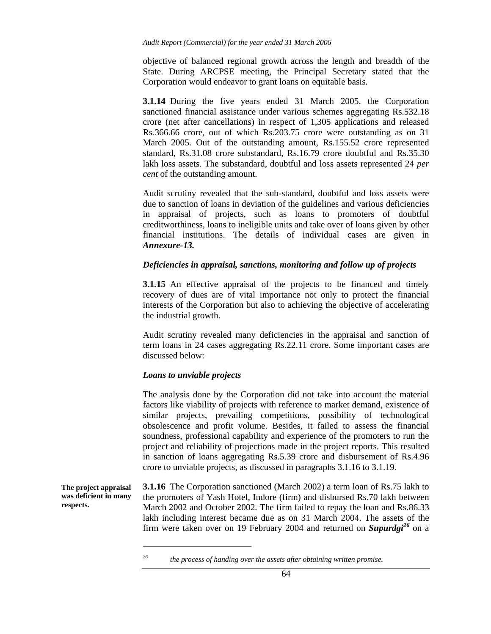objective of balanced regional growth across the length and breadth of the State. During ARCPSE meeting, the Principal Secretary stated that the Corporation would endeavor to grant loans on equitable basis.

**3.1.14** During the five years ended 31 March 2005, the Corporation sanctioned financial assistance under various schemes aggregating Rs.532.18 crore (net after cancellations) in respect of 1,305 applications and released Rs.366.66 crore, out of which Rs.203.75 crore were outstanding as on 31 March 2005. Out of the outstanding amount, Rs.155.52 crore represented standard, Rs.31.08 crore substandard, Rs.16.79 crore doubtful and Rs.35.30 lakh loss assets. The substandard, doubtful and loss assets represented 24 *per cent* of the outstanding amount.

Audit scrutiny revealed that the sub-standard, doubtful and loss assets were due to sanction of loans in deviation of the guidelines and various deficiencies in appraisal of projects, such as loans to promoters of doubtful creditworthiness, loans to ineligible units and take over of loans given by other financial institutions. The details of individual cases are given in *Annexure-13.*

### *Deficiencies in appraisal, sanctions, monitoring and follow up of projects*

**3.1.15** An effective appraisal of the projects to be financed and timely recovery of dues are of vital importance not only to protect the financial interests of the Corporation but also to achieving the objective of accelerating the industrial growth.

Audit scrutiny revealed many deficiencies in the appraisal and sanction of term loans in 24 cases aggregating Rs.22.11 crore. Some important cases are discussed below:

#### *Loans to unviable projects*

The analysis done by the Corporation did not take into account the material factors like viability of projects with reference to market demand, existence of similar projects, prevailing competitions, possibility of technological obsolescence and profit volume. Besides, it failed to assess the financial soundness, professional capability and experience of the promoters to run the project and reliability of projections made in the project reports. This resulted in sanction of loans aggregating Rs.5.39 crore and disbursement of Rs.4.96 crore to unviable projects, as discussed in paragraphs 3.1.16 to 3.1.19.

**The project appraisal was deficient in many respects.** 

l

**3.1.16** The Corporation sanctioned (March 2002) a term loan of Rs.75 lakh to the promoters of Yash Hotel, Indore (firm) and disbursed Rs.70 lakh between March 2002 and October 2002. The firm failed to repay the loan and Rs.86.33 lakh including interest became due as on 31 March 2004. The assets of the firm were taken over on 19 February 2004 and returned on *Supurdgi<sup>26</sup>* on a

*<sup>26</sup> the process of handing over the assets after obtaining written promise.*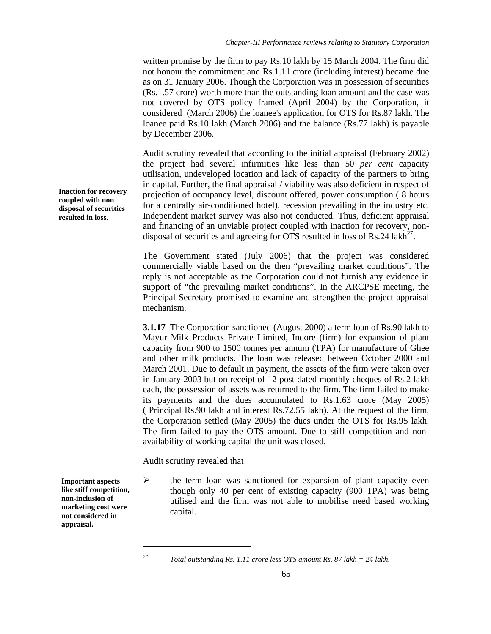written promise by the firm to pay Rs.10 lakh by 15 March 2004. The firm did not honour the commitment and Rs.1.11 crore (including interest) became due as on 31 January 2006. Though the Corporation was in possession of securities (Rs.1.57 crore) worth more than the outstanding loan amount and the case was not covered by OTS policy framed (April 2004) by the Corporation, it considered (March 2006) the loanee's application for OTS for Rs.87 lakh. The loanee paid Rs.10 lakh (March 2006) and the balance (Rs.77 lakh) is payable by December 2006.

Audit scrutiny revealed that according to the initial appraisal (February 2002) the project had several infirmities like less than 50 *per cent* capacity utilisation, undeveloped location and lack of capacity of the partners to bring in capital. Further, the final appraisal / viability was also deficient in respect of projection of occupancy level, discount offered, power consumption ( 8 hours for a centrally air-conditioned hotel), recession prevailing in the industry etc. Independent market survey was also not conducted. Thus, deficient appraisal and financing of an unviable project coupled with inaction for recovery, nondisposal of securities and agreeing for OTS resulted in loss of  $\text{Rs.}24$  lakh<sup>27</sup>.

The Government stated (July 2006) that the project was considered commercially viable based on the then "prevailing market conditions". The reply is not acceptable as the Corporation could not furnish any evidence in support of "the prevailing market conditions". In the ARCPSE meeting, the Principal Secretary promised to examine and strengthen the project appraisal mechanism.

**3.1.17** The Corporation sanctioned (August 2000) a term loan of Rs.90 lakh to Mayur Milk Products Private Limited, Indore (firm) for expansion of plant capacity from 900 to 1500 tonnes per annum (TPA) for manufacture of Ghee and other milk products. The loan was released between October 2000 and March 2001. Due to default in payment, the assets of the firm were taken over in January 2003 but on receipt of 12 post dated monthly cheques of Rs.2 lakh each, the possession of assets was returned to the firm. The firm failed to make its payments and the dues accumulated to Rs.1.63 crore (May 2005) ( Principal Rs.90 lakh and interest Rs.72.55 lakh). At the request of the firm, the Corporation settled (May 2005) the dues under the OTS for Rs.95 lakh. The firm failed to pay the OTS amount. Due to stiff competition and nonavailability of working capital the unit was closed.

Audit scrutiny revealed that

 $\triangleright$  the term loan was sanctioned for expansion of plant capacity even though only 40 per cent of existing capacity (900 TPA) was being utilised and the firm was not able to mobilise need based working capital.

**non-inclusion of marketing cost were not considered in appraisal.** 

**Important aspects like stiff competition,** 

l

**Inaction for recovery coupled with non disposal of securities resulted in loss.** 

*<sup>27</sup> Total outstanding Rs. 1.11 crore less OTS amount Rs. 87 lakh = 24 lakh.*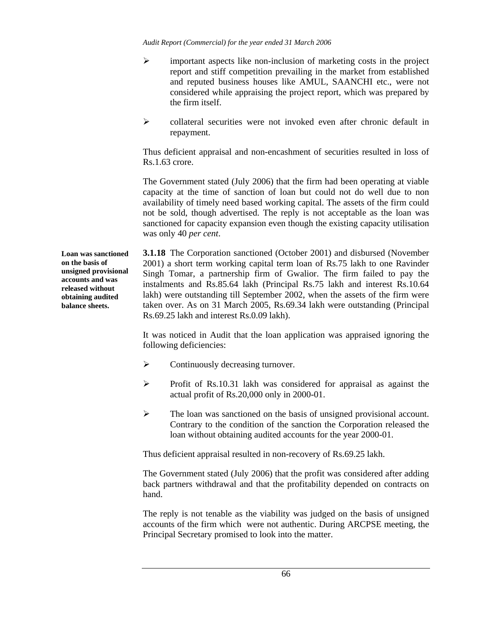*Audit Report (Commercial) for the year ended 31 March 2006* 

- $\triangleright$  important aspects like non-inclusion of marketing costs in the project report and stiff competition prevailing in the market from established and reputed business houses like AMUL, SAANCHI etc., were not considered while appraising the project report, which was prepared by the firm itself.
- $\triangleright$  collateral securities were not invoked even after chronic default in repayment.

Thus deficient appraisal and non-encashment of securities resulted in loss of Rs.1.63 crore.

The Government stated (July 2006) that the firm had been operating at viable capacity at the time of sanction of loan but could not do well due to non availability of timely need based working capital. The assets of the firm could not be sold, though advertised. The reply is not acceptable as the loan was sanctioned for capacity expansion even though the existing capacity utilisation was only 40 *per cent*.

**3.1.18** The Corporation sanctioned (October 2001) and disbursed (November 2001) a short term working capital term loan of Rs.75 lakh to one Ravinder Singh Tomar, a partnership firm of Gwalior. The firm failed to pay the instalments and Rs.85.64 lakh (Principal Rs.75 lakh and interest Rs.10.64 lakh) were outstanding till September 2002, when the assets of the firm were taken over. As on 31 March 2005, Rs.69.34 lakh were outstanding (Principal Rs.69.25 lakh and interest Rs.0.09 lakh).

It was noticed in Audit that the loan application was appraised ignoring the following deficiencies:

- $\triangleright$  Continuously decreasing turnover.
- ¾ Profit of Rs.10.31 lakh was considered for appraisal as against the actual profit of Rs.20,000 only in 2000-01.
- ¾ The loan was sanctioned on the basis of unsigned provisional account. Contrary to the condition of the sanction the Corporation released the loan without obtaining audited accounts for the year 2000-01.

Thus deficient appraisal resulted in non-recovery of Rs.69.25 lakh.

The Government stated (July 2006) that the profit was considered after adding back partners withdrawal and that the profitability depended on contracts on hand.

The reply is not tenable as the viability was judged on the basis of unsigned accounts of the firm which were not authentic. During ARCPSE meeting, the Principal Secretary promised to look into the matter.

**Loan was sanctioned on the basis of unsigned provisional accounts and was released without obtaining audited balance sheets.**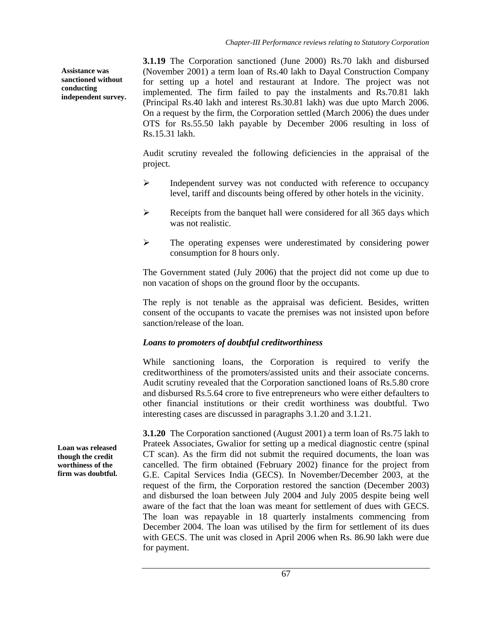**Assistance was sanctioned without conducting independent survey.**  **3.1.19** The Corporation sanctioned (June 2000) Rs.70 lakh and disbursed (November 2001) a term loan of Rs.40 lakh to Dayal Construction Company for setting up a hotel and restaurant at Indore. The project was not implemented. The firm failed to pay the instalments and Rs.70.81 lakh (Principal Rs.40 lakh and interest Rs.30.81 lakh) was due upto March 2006. On a request by the firm, the Corporation settled (March 2006) the dues under OTS for Rs.55.50 lakh payable by December 2006 resulting in loss of Rs.15.31 lakh.

Audit scrutiny revealed the following deficiencies in the appraisal of the project.

- ¾ Independent survey was not conducted with reference to occupancy level, tariff and discounts being offered by other hotels in the vicinity.
- $\triangleright$  Receipts from the banquet hall were considered for all 365 days which was not realistic.
- ¾ The operating expenses were underestimated by considering power consumption for 8 hours only.

The Government stated (July 2006) that the project did not come up due to non vacation of shops on the ground floor by the occupants.

The reply is not tenable as the appraisal was deficient. Besides, written consent of the occupants to vacate the premises was not insisted upon before sanction/release of the loan.

# *Loans to promoters of doubtful creditworthiness*

While sanctioning loans, the Corporation is required to verify the creditworthiness of the promoters/assisted units and their associate concerns. Audit scrutiny revealed that the Corporation sanctioned loans of Rs.5.80 crore and disbursed Rs.5.64 crore to five entrepreneurs who were either defaulters to other financial institutions or their credit worthiness was doubtful. Two interesting cases are discussed in paragraphs 3.1.20 and 3.1.21.

**3.1.20** The Corporation sanctioned (August 2001) a term loan of Rs.75 lakh to Prateek Associates, Gwalior for setting up a medical diagnostic centre (spinal CT scan). As the firm did not submit the required documents, the loan was cancelled. The firm obtained (February 2002) finance for the project from G.E. Capital Services India (GECS). In November/December 2003, at the request of the firm, the Corporation restored the sanction (December 2003) and disbursed the loan between July 2004 and July 2005 despite being well aware of the fact that the loan was meant for settlement of dues with GECS. The loan was repayable in 18 quarterly instalments commencing from December 2004. The loan was utilised by the firm for settlement of its dues with GECS. The unit was closed in April 2006 when Rs. 86.90 lakh were due for payment.

**Loan was released though the credit worthiness of the firm was doubtful.**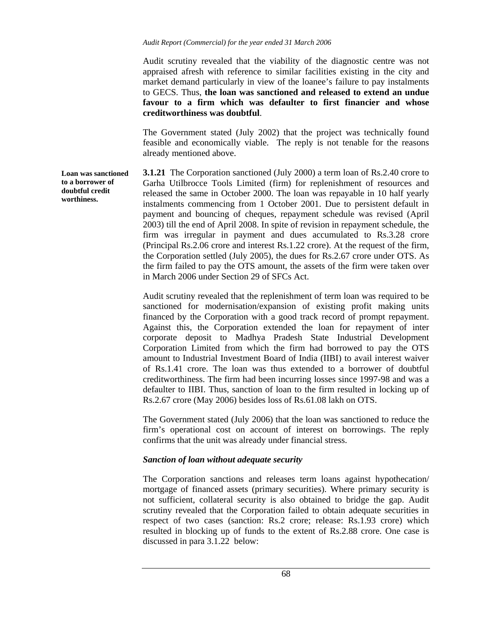Audit scrutiny revealed that the viability of the diagnostic centre was not appraised afresh with reference to similar facilities existing in the city and market demand particularly in view of the loanee's failure to pay instalments to GECS. Thus, **the loan was sanctioned and released to extend an undue favour to a firm which was defaulter to first financier and whose creditworthiness was doubtful**.

The Government stated (July 2002) that the project was technically found feasible and economically viable. The reply is not tenable for the reasons already mentioned above.

**3.1.21** The Corporation sanctioned (July 2000) a term loan of Rs.2.40 crore to Garha Utilbrocce Tools Limited (firm) for replenishment of resources and released the same in October 2000. The loan was repayable in 10 half yearly instalments commencing from 1 October 2001. Due to persistent default in payment and bouncing of cheques, repayment schedule was revised (April 2003) till the end of April 2008. In spite of revision in repayment schedule, the firm was irregular in payment and dues accumulated to Rs.3.28 crore (Principal Rs.2.06 crore and interest Rs.1.22 crore). At the request of the firm, the Corporation settled (July 2005), the dues for Rs.2.67 crore under OTS. As the firm failed to pay the OTS amount, the assets of the firm were taken over in March 2006 under Section 29 of SFCs Act.

> Audit scrutiny revealed that the replenishment of term loan was required to be sanctioned for modernisation/expansion of existing profit making units financed by the Corporation with a good track record of prompt repayment. Against this, the Corporation extended the loan for repayment of inter corporate deposit to Madhya Pradesh State Industrial Development Corporation Limited from which the firm had borrowed to pay the OTS amount to Industrial Investment Board of India (IIBI) to avail interest waiver of Rs.1.41 crore. The loan was thus extended to a borrower of doubtful creditworthiness. The firm had been incurring losses since 1997-98 and was a defaulter to IIBI. Thus, sanction of loan to the firm resulted in locking up of Rs.2.67 crore (May 2006) besides loss of Rs.61.08 lakh on OTS.

> The Government stated (July 2006) that the loan was sanctioned to reduce the firm's operational cost on account of interest on borrowings. The reply confirms that the unit was already under financial stress.

### *Sanction of loan without adequate security*

The Corporation sanctions and releases term loans against hypothecation/ mortgage of financed assets (primary securities). Where primary security is not sufficient, collateral security is also obtained to bridge the gap. Audit scrutiny revealed that the Corporation failed to obtain adequate securities in respect of two cases (sanction: Rs.2 crore; release: Rs.1.93 crore) which resulted in blocking up of funds to the extent of Rs.2.88 crore. One case is discussed in para 3.1.22 below:

**Loan was sanctioned to a borrower of doubtful credit worthiness.**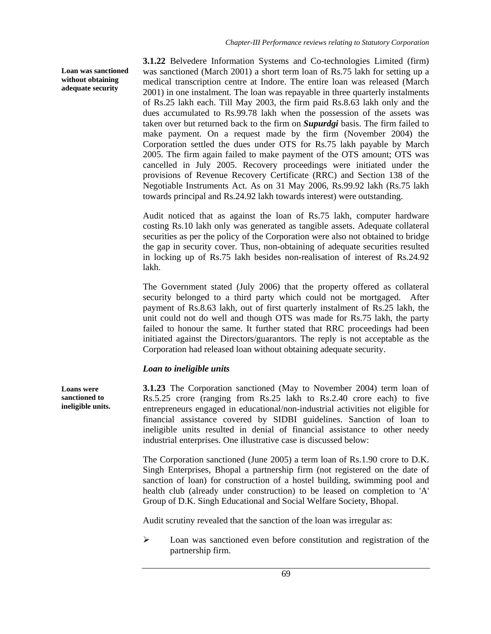**Loan was sanctioned without obtaining adequate security** 

**3.1.22** Belvedere Information Systems and Co-technologies Limited (firm) was sanctioned (March 2001) a short term loan of Rs.75 lakh for setting up a medical transcription centre at Indore. The entire loan was released (March 2001) in one instalment. The loan was repayable in three quarterly instalments of Rs.25 lakh each. Till May 2003, the firm paid Rs.8.63 lakh only and the dues accumulated to Rs.99.78 lakh when the possession of the assets was taken over but returned back to the firm on *Supurdgi* basis. The firm failed to make payment. On a request made by the firm (November 2004) the Corporation settled the dues under OTS for Rs.75 lakh payable by March 2005. The firm again failed to make payment of the OTS amount; OTS was cancelled in July 2005. Recovery proceedings were initiated under the provisions of Revenue Recovery Certificate (RRC) and Section 138 of the Negotiable Instruments Act. As on 31 May 2006, Rs.99.92 lakh (Rs.75 lakh towards principal and Rs.24.92 lakh towards interest) were outstanding.

Audit noticed that as against the loan of Rs.75 lakh, computer hardware costing Rs.10 lakh only was generated as tangible assets. Adequate collateral securities as per the policy of the Corporation were also not obtained to bridge the gap in security cover. Thus, non-obtaining of adequate securities resulted in locking up of Rs.75 lakh besides non-realisation of interest of Rs.24.92 lakh.

The Government stated (July 2006) that the property offered as collateral security belonged to a third party which could not be mortgaged. After payment of Rs.8.63 lakh, out of first quarterly instalment of Rs.25 lakh, the unit could not do well and though OTS was made for Rs.75 lakh, the party failed to honour the same. It further stated that RRC proceedings had been initiated against the Directors/guarantors. The reply is not acceptable as the Corporation had released loan without obtaining adequate security.

# *Loan to ineligible units*

**3.1.23** The Corporation sanctioned (May to November 2004) term loan of Rs.5.25 crore (ranging from Rs.25 lakh to Rs.2.40 crore each) to five entrepreneurs engaged in educational/non-industrial activities not eligible for financial assistance covered by SIDBI guidelines. Sanction of loan to ineligible units resulted in denial of financial assistance to other needy industrial enterprises. One illustrative case is discussed below:

The Corporation sanctioned (June 2005) a term loan of Rs.1.90 crore to D.K. Singh Enterprises, Bhopal a partnership firm (not registered on the date of sanction of loan) for construction of a hostel building, swimming pool and health club (already under construction) to be leased on completion to 'A' Group of D.K. Singh Educational and Social Welfare Society, Bhopal.

Audit scrutiny revealed that the sanction of the loan was irregular as:

¾ Loan was sanctioned even before constitution and registration of the partnership firm.

**Loans were sanctioned to ineligible units.**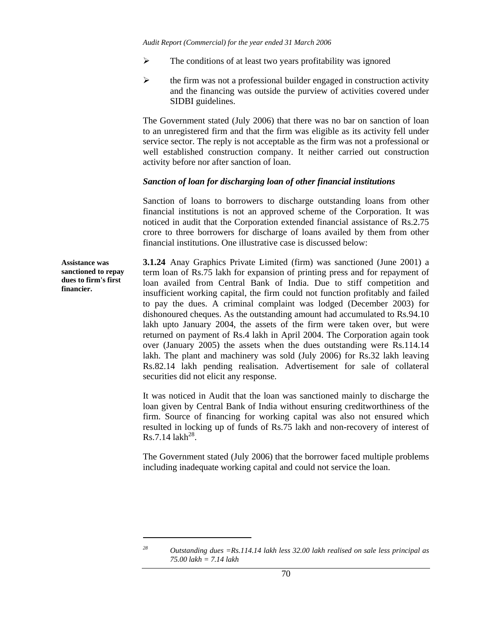- $\triangleright$  The conditions of at least two years profitability was ignored
- $\triangleright$  the firm was not a professional builder engaged in construction activity and the financing was outside the purview of activities covered under SIDBI guidelines.

The Government stated (July 2006) that there was no bar on sanction of loan to an unregistered firm and that the firm was eligible as its activity fell under service sector. The reply is not acceptable as the firm was not a professional or well established construction company. It neither carried out construction activity before nor after sanction of loan.

#### *Sanction of loan for discharging loan of other financial institutions*

Sanction of loans to borrowers to discharge outstanding loans from other financial institutions is not an approved scheme of the Corporation. It was noticed in audit that the Corporation extended financial assistance of Rs.2.75 crore to three borrowers for discharge of loans availed by them from other financial institutions. One illustrative case is discussed below:

**Assistance was sanctioned to repay dues to firm's first financier.** 

**3.1.24** Anay Graphics Private Limited (firm) was sanctioned (June 2001) a term loan of Rs.75 lakh for expansion of printing press and for repayment of loan availed from Central Bank of India. Due to stiff competition and insufficient working capital, the firm could not function profitably and failed to pay the dues. A criminal complaint was lodged (December 2003) for dishonoured cheques. As the outstanding amount had accumulated to Rs.94.10 lakh upto January 2004, the assets of the firm were taken over, but were returned on payment of Rs.4 lakh in April 2004. The Corporation again took over (January 2005) the assets when the dues outstanding were Rs.114.14 lakh. The plant and machinery was sold (July 2006) for Rs.32 lakh leaving Rs.82.14 lakh pending realisation. Advertisement for sale of collateral securities did not elicit any response.

It was noticed in Audit that the loan was sanctioned mainly to discharge the loan given by Central Bank of India without ensuring creditworthiness of the firm. Source of financing for working capital was also not ensured which resulted in locking up of funds of Rs.75 lakh and non-recovery of interest of  $Rs.7.14$  lakh<sup>28</sup>.

The Government stated (July 2006) that the borrower faced multiple problems including inadequate working capital and could not service the loan.

l

*<sup>28</sup> Outstanding dues =Rs.114.14 lakh less 32.00 lakh realised on sale less principal as 75.00 lakh = 7.14 lakh*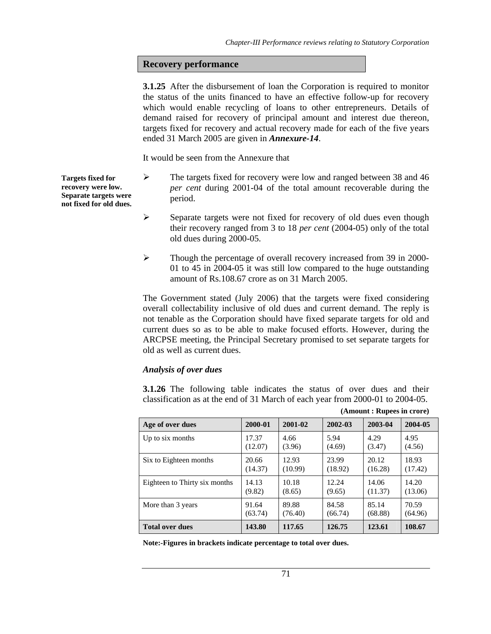### **Recovery performance**

**3.1.25** After the disbursement of loan the Corporation is required to monitor the status of the units financed to have an effective follow-up for recovery which would enable recycling of loans to other entrepreneurs. Details of demand raised for recovery of principal amount and interest due thereon, targets fixed for recovery and actual recovery made for each of the five years ended 31 March 2005 are given in *Annexure-14*.

It would be seen from the Annexure that

**Targets fixed for recovery were low. Separate targets were not fixed for old dues.** 

- ¾ The targets fixed for recovery were low and ranged between 38 and 46 *per cent* during 2001-04 of the total amount recoverable during the period.
- ¾ Separate targets were not fixed for recovery of old dues even though their recovery ranged from 3 to 18 *per cent* (2004-05) only of the total old dues during 2000-05.
- ¾ Though the percentage of overall recovery increased from 39 in 2000- 01 to 45 in 2004-05 it was still low compared to the huge outstanding amount of Rs.108.67 crore as on 31 March 2005.

The Government stated (July 2006) that the targets were fixed considering overall collectability inclusive of old dues and current demand. The reply is not tenable as the Corporation should have fixed separate targets for old and current dues so as to be able to make focused efforts. However, during the ARCPSE meeting, the Principal Secretary promised to set separate targets for old as well as current dues.

### *Analysis of over dues*

**3.1.26** The following table indicates the status of over dues and their classification as at the end of 31 March of each year from 2000-01 to 2004-05.

| Age of over dues              | 2000-01 | 2001-02 | 2002-03 | 2003-04 | 2004-05 |
|-------------------------------|---------|---------|---------|---------|---------|
| Up to six months              | 17.37   | 4.66    | 5.94    | 4.29    | 4.95    |
|                               | (12.07) | (3.96)  | (4.69)  | (3.47)  | (4.56)  |
| Six to Eighteen months        | 20.66   | 12.93   | 23.99   | 20.12   | 18.93   |
|                               | (14.37) | (10.99) | (18.92) | (16.28) | (17.42) |
| Eighteen to Thirty six months | 14.13   | 10.18   | 12.24   | 14.06   | 14.20   |
|                               | (9.82)  | (8.65)  | (9.65)  | (11.37) | (13.06) |
| More than 3 years             | 91.64   | 89.88   | 84.58   | 85.14   | 70.59   |
|                               | (63.74) | (76.40) | (66.74) | (68.88) | (64.96) |
| <b>Total over dues</b>        | 143.80  | 117.65  | 126.75  | 123.61  | 108.67  |

**(Amount : Rupees in crore)** 

**Note:-Figures in brackets indicate percentage to total over dues.**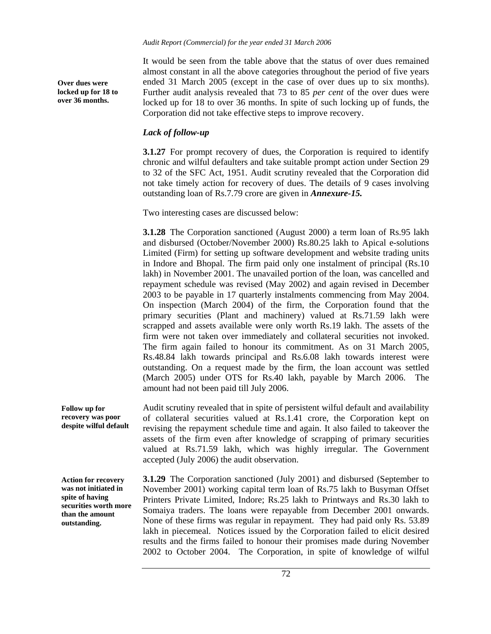*Audit Report (Commercial) for the year ended 31 March 2006* 

**Over dues were locked up for 18 to over 36 months.** 

It would be seen from the table above that the status of over dues remained almost constant in all the above categories throughout the period of five years ended 31 March 2005 (except in the case of over dues up to six months). Further audit analysis revealed that 73 to 85 *per cent* of the over dues were locked up for 18 to over 36 months. In spite of such locking up of funds, the Corporation did not take effective steps to improve recovery.

# *Lack of follow-up*

**3.1.27** For prompt recovery of dues, the Corporation is required to identify chronic and wilful defaulters and take suitable prompt action under Section 29 to 32 of the SFC Act, 1951. Audit scrutiny revealed that the Corporation did not take timely action for recovery of dues. The details of 9 cases involving outstanding loan of Rs.7.79 crore are given in *Annexure-15.* 

Two interesting cases are discussed below:

**3.1.28** The Corporation sanctioned (August 2000) a term loan of Rs.95 lakh and disbursed (October/November 2000) Rs.80.25 lakh to Apical e-solutions Limited (Firm) for setting up software development and website trading units in Indore and Bhopal. The firm paid only one instalment of principal (Rs.10 lakh) in November 2001. The unavailed portion of the loan, was cancelled and repayment schedule was revised (May 2002) and again revised in December 2003 to be payable in 17 quarterly instalments commencing from May 2004. On inspection (March 2004) of the firm, the Corporation found that the primary securities (Plant and machinery) valued at Rs.71.59 lakh were scrapped and assets available were only worth Rs.19 lakh. The assets of the firm were not taken over immediately and collateral securities not invoked. The firm again failed to honour its commitment. As on 31 March 2005, Rs.48.84 lakh towards principal and Rs.6.08 lakh towards interest were outstanding. On a request made by the firm, the loan account was settled (March 2005) under OTS for Rs.40 lakh, payable by March 2006. The amount had not been paid till July 2006.

Audit scrutiny revealed that in spite of persistent wilful default and availability of collateral securities valued at Rs.1.41 crore, the Corporation kept on revising the repayment schedule time and again. It also failed to takeover the assets of the firm even after knowledge of scrapping of primary securities valued at Rs.71.59 lakh, which was highly irregular. The Government accepted (July 2006) the audit observation. **Follow up for recovery was poor despite wilful default** 

**Action for recovery was not initiated in spite of having securities worth more than the amount outstanding.** 

**3.1.29** The Corporation sanctioned (July 2001) and disbursed (September to November 2001) working capital term loan of Rs.75 lakh to Busyman Offset Printers Private Limited, Indore; Rs.25 lakh to Printways and Rs.30 lakh to Somaiya traders. The loans were repayable from December 2001 onwards. None of these firms was regular in repayment. They had paid only Rs. 53.89 lakh in piecemeal. Notices issued by the Corporation failed to elicit desired results and the firms failed to honour their promises made during November 2002 to October 2004. The Corporation, in spite of knowledge of wilful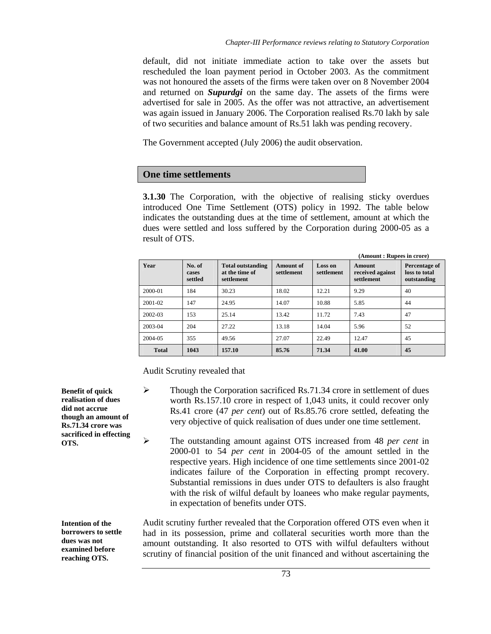default, did not initiate immediate action to take over the assets but rescheduled the loan payment period in October 2003. As the commitment was not honoured the assets of the firms were taken over on 8 November 2004 and returned on *Supurdgi* on the same day. The assets of the firms were advertised for sale in 2005. As the offer was not attractive, an advertisement was again issued in January 2006. The Corporation realised Rs.70 lakh by sale of two securities and balance amount of Rs.51 lakh was pending recovery.

The Government accepted (July 2006) the audit observation.

# **One time settlements**

**3.1.30** The Corporation, with the objective of realising sticky overdues introduced One Time Settlement (OTS) policy in 1992. The table below indicates the outstanding dues at the time of settlement, amount at which the dues were settled and loss suffered by the Corporation during 2000-05 as a result of OTS.

| Year         | No. of<br>cases<br>settled | <b>Total outstanding</b><br>at the time of<br>settlement | <b>Amount</b> of<br>settlement | Loss on<br>settlement | <b>Amount</b><br>received against<br>settlement | Percentage of<br>loss to total<br>outstanding |
|--------------|----------------------------|----------------------------------------------------------|--------------------------------|-----------------------|-------------------------------------------------|-----------------------------------------------|
| 2000-01      | 184                        | 30.23                                                    | 18.02                          | 12.21                 | 9.29                                            | 40                                            |
| 2001-02      | 147                        | 24.95                                                    | 14.07                          | 10.88                 | 5.85                                            | 44                                            |
| 2002-03      | 153                        | 25.14                                                    | 13.42                          | 11.72                 | 7.43                                            | 47                                            |
| 2003-04      | 204                        | 27.22                                                    | 13.18                          | 14.04                 | 5.96                                            | 52                                            |
| 2004-05      | 355                        | 49.56                                                    | 27.07                          | 22.49                 | 12.47                                           | 45                                            |
| <b>Total</b> | 1043                       | 157.10                                                   | 85.76                          | 71.34                 | 41.00                                           | 45                                            |

Audit Scrutiny revealed that

- $\blacktriangleright$  Though the Corporation sacrificed Rs.71.34 crore in settlement of dues worth Rs.157.10 crore in respect of 1,043 units, it could recover only Rs.41 crore (47 *per cent*) out of Rs.85.76 crore settled, defeating the very objective of quick realisation of dues under one time settlement.
	- ¾ The outstanding amount against OTS increased from 48 *per cent* in 2000-01 to 54 *per cent* in 2004-05 of the amount settled in the respective years. High incidence of one time settlements since 2001-02 indicates failure of the Corporation in effecting prompt recovery. Substantial remissions in dues under OTS to defaulters is also fraught with the risk of wilful default by loanees who make regular payments, in expectation of benefits under OTS.

**Intention of the borrowers to settle dues was not examined before reaching OTS.** 

Audit scrutiny further revealed that the Corporation offered OTS even when it had in its possession, prime and collateral securities worth more than the amount outstanding. It also resorted to OTS with wilful defaulters without scrutiny of financial position of the unit financed and without ascertaining the

**Benefit of quick realisation of dues did not accrue though an amount of Rs.71.34 crore was sacrificed in effecting OTS.**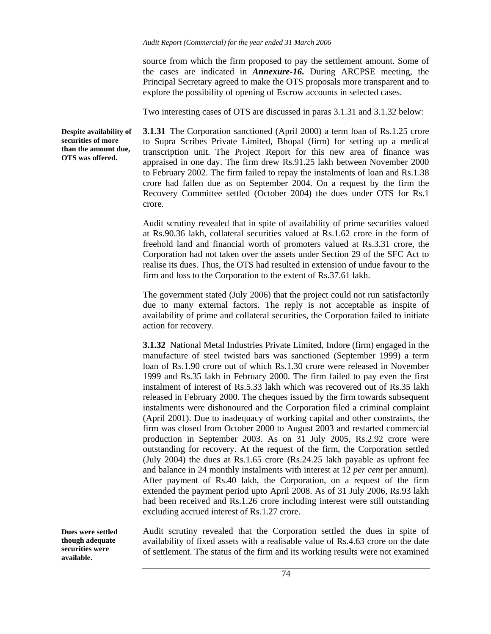source from which the firm proposed to pay the settlement amount. Some of the cases are indicated in *Annexure-16***.** During ARCPSE meeting, the Principal Secretary agreed to make the OTS proposals more transparent and to explore the possibility of opening of Escrow accounts in selected cases.

Two interesting cases of OTS are discussed in paras 3.1.31 and 3.1.32 below:

**Despite availability of securities of more than the amount due, OTS was offered.** 

**3.1.31** The Corporation sanctioned (April 2000) a term loan of Rs.1.25 crore to Supra Scribes Private Limited, Bhopal (firm) for setting up a medical transcription unit. The Project Report for this new area of finance was appraised in one day. The firm drew Rs.91.25 lakh between November 2000 to February 2002. The firm failed to repay the instalments of loan and Rs.1.38 crore had fallen due as on September 2004. On a request by the firm the Recovery Committee settled (October 2004) the dues under OTS for Rs.1 crore.

Audit scrutiny revealed that in spite of availability of prime securities valued at Rs.90.36 lakh, collateral securities valued at Rs.1.62 crore in the form of freehold land and financial worth of promoters valued at Rs.3.31 crore, the Corporation had not taken over the assets under Section 29 of the SFC Act to realise its dues. Thus, the OTS had resulted in extension of undue favour to the firm and loss to the Corporation to the extent of Rs.37.61 lakh.

The government stated (July 2006) that the project could not run satisfactorily due to many external factors. The reply is not acceptable as inspite of availability of prime and collateral securities, the Corporation failed to initiate action for recovery.

**3.1.32** National Metal Industries Private Limited, Indore (firm) engaged in the manufacture of steel twisted bars was sanctioned (September 1999) a term loan of Rs.1.90 crore out of which Rs.1.30 crore were released in November 1999 and Rs.35 lakh in February 2000. The firm failed to pay even the first instalment of interest of Rs.5.33 lakh which was recovered out of Rs.35 lakh released in February 2000. The cheques issued by the firm towards subsequent instalments were dishonoured and the Corporation filed a criminal complaint (April 2001). Due to inadequacy of working capital and other constraints, the firm was closed from October 2000 to August 2003 and restarted commercial production in September 2003. As on 31 July 2005, Rs.2.92 crore were outstanding for recovery. At the request of the firm, the Corporation settled (July 2004) the dues at Rs.1.65 crore (Rs.24.25 lakh payable as upfront fee and balance in 24 monthly instalments with interest at 12 *per cent* per annum). After payment of Rs.40 lakh, the Corporation, on a request of the firm extended the payment period upto April 2008. As of 31 July 2006, Rs.93 lakh had been received and Rs.1.26 crore including interest were still outstanding excluding accrued interest of Rs.1.27 crore.

**Dues were settled though adequate securities were available.** 

Audit scrutiny revealed that the Corporation settled the dues in spite of availability of fixed assets with a realisable value of Rs.4.63 crore on the date of settlement. The status of the firm and its working results were not examined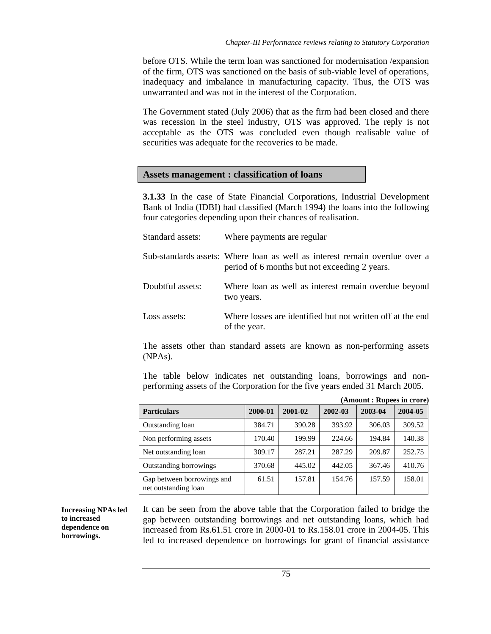before OTS. While the term loan was sanctioned for modernisation /expansion of the firm, OTS was sanctioned on the basis of sub-viable level of operations, inadequacy and imbalance in manufacturing capacity. Thus, the OTS was unwarranted and was not in the interest of the Corporation.

The Government stated (July 2006) that as the firm had been closed and there was recession in the steel industry, OTS was approved. The reply is not acceptable as the OTS was concluded even though realisable value of securities was adequate for the recoveries to be made.

### **Assets management : classification of loans**

**3.1.33** In the case of State Financial Corporations, Industrial Development Bank of India (IDBI) had classified (March 1994) the loans into the following four categories depending upon their chances of realisation.

| Standard assets: | Where payments are regular                                                                                                  |
|------------------|-----------------------------------------------------------------------------------------------------------------------------|
|                  | Sub-standards assets: Where loan as well as interest remain overdue over a<br>period of 6 months but not exceeding 2 years. |
| Doubtful assets: | Where loan as well as interest remain overdue beyond<br>two years.                                                          |
| Loss assets:     | Where losses are identified but not written off at the end<br>of the year.                                                  |

The assets other than standard assets are known as non-performing assets (NPAs).

The table below indicates net outstanding loans, borrowings and nonperforming assets of the Corporation for the five years ended 31 March 2005.

|                                                    |         |         |         | (Amount: Rupees in crore) |         |
|----------------------------------------------------|---------|---------|---------|---------------------------|---------|
| <b>Particulars</b>                                 | 2000-01 | 2001-02 | 2002-03 | 2003-04                   | 2004-05 |
| Outstanding loan                                   | 384.71  | 390.28  | 393.92  | 306.03                    | 309.52  |
| Non performing assets                              | 170.40  | 199.99  | 224.66  | 194.84                    | 140.38  |
| Net outstanding loan                               | 309.17  | 287.21  | 287.29  | 209.87                    | 252.75  |
| Outstanding borrowings                             | 370.68  | 445.02  | 442.05  | 367.46                    | 410.76  |
| Gap between borrowings and<br>net outstanding loan | 61.51   | 157.81  | 154.76  | 157.59                    | 158.01  |

**Increasing NPAs led to increased dependence on borrowings.** 

It can be seen from the above table that the Corporation failed to bridge the gap between outstanding borrowings and net outstanding loans, which had increased from Rs.61.51 crore in 2000-01 to Rs.158.01 crore in 2004-05. This led to increased dependence on borrowings for grant of financial assistance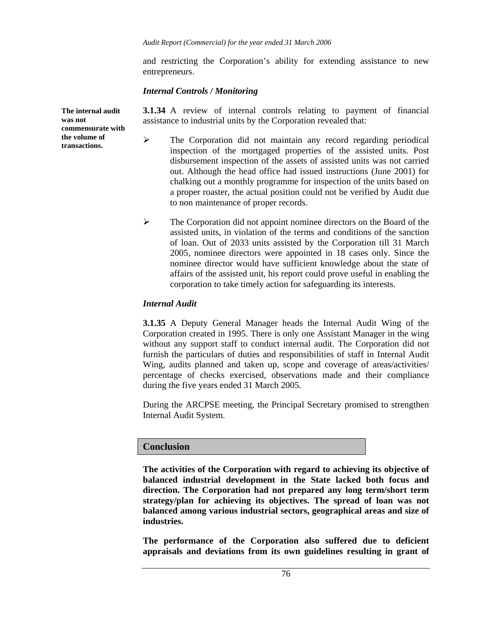and restricting the Corporation's ability for extending assistance to new entrepreneurs.

### *Internal Controls / Monitoring*

**3.1.34** A review of internal controls relating to payment of financial assistance to industrial units by the Corporation revealed that:

- ¾ The Corporation did not maintain any record regarding periodical inspection of the mortgaged properties of the assisted units. Post disbursement inspection of the assets of assisted units was not carried out. Although the head office had issued instructions (June 2001) for chalking out a monthly programme for inspection of the units based on a proper roaster, the actual position could not be verified by Audit due to non maintenance of proper records.
- $\triangleright$  The Corporation did not appoint nominee directors on the Board of the assisted units, in violation of the terms and conditions of the sanction of loan. Out of 2033 units assisted by the Corporation till 31 March 2005, nominee directors were appointed in 18 cases only. Since the nominee director would have sufficient knowledge about the state of affairs of the assisted unit, his report could prove useful in enabling the corporation to take timely action for safeguarding its interests.

## *Internal Audit*

**3.1.35** A Deputy General Manager heads the Internal Audit Wing of the Corporation created in 1995. There is only one Assistant Manager in the wing without any support staff to conduct internal audit. The Corporation did not furnish the particulars of duties and responsibilities of staff in Internal Audit Wing, audits planned and taken up, scope and coverage of areas/activities/ percentage of checks exercised, observations made and their compliance during the five years ended 31 March 2005.

During the ARCPSE meeting, the Principal Secretary promised to strengthen Internal Audit System.

# **Conclusion**

**The activities of the Corporation with regard to achieving its objective of balanced industrial development in the State lacked both focus and direction. The Corporation had not prepared any long term/short term strategy/plan for achieving its objectives. The spread of loan was not balanced among various industrial sectors, geographical areas and size of industries.** 

**The performance of the Corporation also suffered due to deficient appraisals and deviations from its own guidelines resulting in grant of** 

**The internal audit was not commensurate with the volume of transactions.**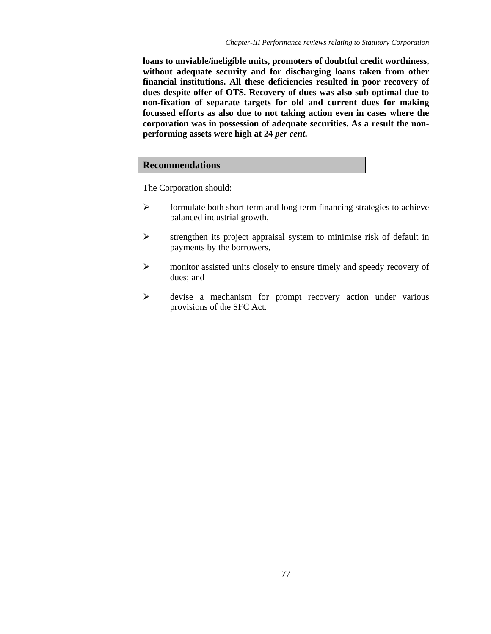**loans to unviable/ineligible units, promoters of doubtful credit worthiness, without adequate security and for discharging loans taken from other financial institutions. All these deficiencies resulted in poor recovery of dues despite offer of OTS. Recovery of dues was also sub-optimal due to non-fixation of separate targets for old and current dues for making focussed efforts as also due to not taking action even in cases where the corporation was in possession of adequate securities. As a result the nonperforming assets were high at 24** *per cent***.** 

# **Recommendations**

The Corporation should:

- $\triangleright$  formulate both short term and long term financing strategies to achieve balanced industrial growth,
- $\triangleright$  strengthen its project appraisal system to minimise risk of default in payments by the borrowers,
- ¾ monitor assisted units closely to ensure timely and speedy recovery of dues; and
- ¾ devise a mechanism for prompt recovery action under various provisions of the SFC Act.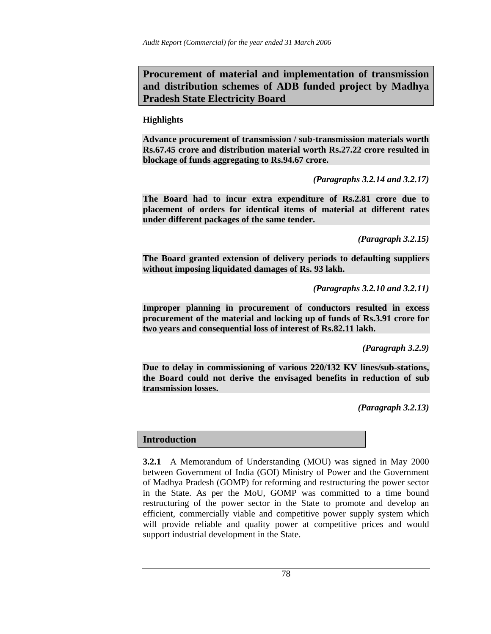**Procurement of material and implementation of transmission and distribution schemes of ADB funded project by Madhya Pradesh State Electricity Board** 

**Highlights** 

**Advance procurement of transmission / sub-transmission materials worth Rs.67.45 crore and distribution material worth Rs.27.22 crore resulted in blockage of funds aggregating to Rs.94.67 crore.** 

*(Paragraphs 3.2.14 and 3.2.17)* 

**The Board had to incur extra expenditure of Rs.2.81 crore due to placement of orders for identical items of material at different rates under different packages of the same tender.** 

*(Paragraph 3.2.15)* 

**The Board granted extension of delivery periods to defaulting suppliers without imposing liquidated damages of Rs. 93 lakh.** 

*(Paragraphs 3.2.10 and 3.2.11)* 

**Improper planning in procurement of conductors resulted in excess procurement of the material and locking up of funds of Rs.3.91 crore for two years and consequential loss of interest of Rs.82.11 lakh.** 

*(Paragraph 3.2.9)* 

**Due to delay in commissioning of various 220/132 KV lines/sub-stations, the Board could not derive the envisaged benefits in reduction of sub transmission losses.** 

*(Paragraph 3.2.13)* 

# **Introduction**

**3.2.1** A Memorandum of Understanding (MOU) was signed in May 2000 between Government of India (GOI) Ministry of Power and the Government of Madhya Pradesh (GOMP) for reforming and restructuring the power sector in the State. As per the MoU, GOMP was committed to a time bound restructuring of the power sector in the State to promote and develop an efficient, commercially viable and competitive power supply system which will provide reliable and quality power at competitive prices and would support industrial development in the State.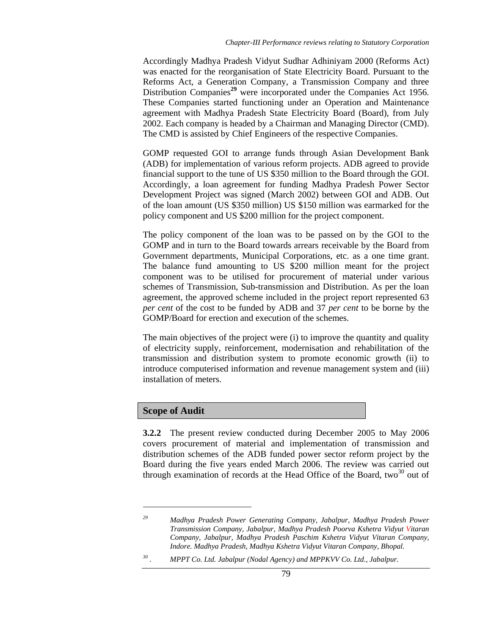Accordingly Madhya Pradesh Vidyut Sudhar Adhiniyam 2000 (Reforms Act) was enacted for the reorganisation of State Electricity Board. Pursuant to the Reforms Act, a Generation Company, a Transmission Company and three Distribution Companies**<sup>29</sup>** were incorporated under the Companies Act 1956. These Companies started functioning under an Operation and Maintenance agreement with Madhya Pradesh State Electricity Board (Board), from July 2002. Each company is headed by a Chairman and Managing Director (CMD). The CMD is assisted by Chief Engineers of the respective Companies.

GOMP requested GOI to arrange funds through Asian Development Bank (ADB) for implementation of various reform projects. ADB agreed to provide financial support to the tune of US \$350 million to the Board through the GOI. Accordingly, a loan agreement for funding Madhya Pradesh Power Sector Development Project was signed (March 2002) between GOI and ADB. Out of the loan amount (US \$350 million) US \$150 million was earmarked for the policy component and US \$200 million for the project component.

The policy component of the loan was to be passed on by the GOI to the GOMP and in turn to the Board towards arrears receivable by the Board from Government departments, Municipal Corporations, etc. as a one time grant. The balance fund amounting to US \$200 million meant for the project component was to be utilised for procurement of material under various schemes of Transmission, Sub-transmission and Distribution. As per the loan agreement, the approved scheme included in the project report represented 63 *per cent* of the cost to be funded by ADB and 37 *per cent* to be borne by the GOMP/Board for erection and execution of the schemes.

The main objectives of the project were (i) to improve the quantity and quality of electricity supply, reinforcement, modernisation and rehabilitation of the transmission and distribution system to promote economic growth (ii) to introduce computerised information and revenue management system and (iii) installation of meters.

### **Scope of Audit**

 $\overline{a}$ 

**3.2.2** The present review conducted during December 2005 to May 2006 covers procurement of material and implementation of transmission and distribution schemes of the ADB funded power sector reform project by the Board during the five years ended March 2006. The review was carried out through examination of records at the Head Office of the Board, two $30$  out of

*<sup>29</sup> Madhya Pradesh Power Generating Company, Jabalpur, Madhya Pradesh Power Transmission Company, Jabalpur, Madhya Pradesh Poorva Kshetra Vidyut Vitaran Company, Jabalpur, Madhya Pradesh Paschim Kshetra Vidyut Vitaran Company, Indore. Madhya Pradesh, Madhya Kshetra Vidyut Vitaran Company, Bhopal.* 

<sup>&</sup>lt;sup>30</sup> . MPPT Co. Ltd. Jabalpur (Nodal Agency) and MPPKVV Co. Ltd., Jabalpur.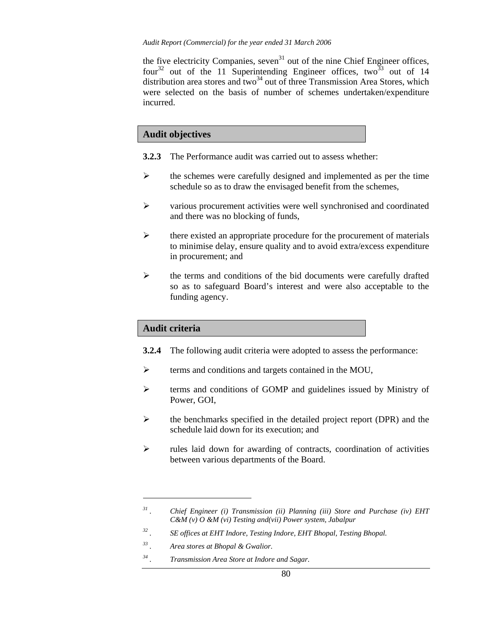the five electricity Companies, seven<sup>31</sup> out of the nine Chief Engineer offices, four<sup>32</sup> out of the 11 Superintending Engineer offices, two<sup>33</sup> out of 14 distribution area stores and two<sup>34</sup> out of three Transmission Area Stores, which were selected on the basis of number of schemes undertaken/expenditure incurred.

## **Audit objectives**

- **3.2.3** The Performance audit was carried out to assess whether:
- $\triangleright$  the schemes were carefully designed and implemented as per the time schedule so as to draw the envisaged benefit from the schemes,
- ¾ various procurement activities were well synchronised and coordinated and there was no blocking of funds,
- $\triangleright$  there existed an appropriate procedure for the procurement of materials to minimise delay, ensure quality and to avoid extra/excess expenditure in procurement; and
- $\triangleright$  the terms and conditions of the bid documents were carefully drafted so as to safeguard Board's interest and were also acceptable to the funding agency.

### **Audit criteria**

 $\overline{a}$ 

- **3.2.4** The following audit criteria were adopted to assess the performance:
- ¾ terms and conditions and targets contained in the MOU,
- ¾ terms and conditions of GOMP and guidelines issued by Ministry of Power, GOI,
- ¾ the benchmarks specified in the detailed project report (DPR) and the schedule laid down for its execution; and
- ¾ rules laid down for awarding of contracts, coordination of activities between various departments of the Board.

*<sup>31 .</sup> Chief Engineer (i) Transmission (ii) Planning (iii) Store and Purchase (iv) EHT C&M (v) O &M (vi) Testing and(vii) Power system, Jabalpur* 

<sup>&</sup>lt;sup>32</sup> . SE offices at EHT Indore, Testing Indore, EHT Bhopal, Testing Bhopal.<br><sup>33</sup> A reasotores at Bhopal & Gwalior.

*<sup>33 .</sup> Area stores at Bhopal & Gwalior.* 

*<sup>34 .</sup> Transmission Area Store at Indore and Sagar.*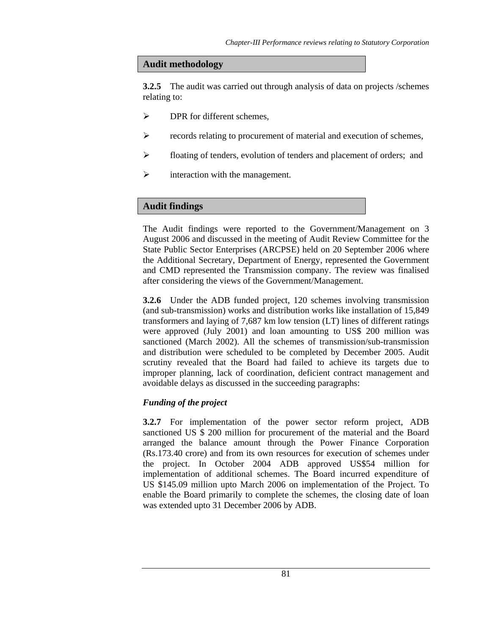## **Audit methodology**

**3.2.5** The audit was carried out through analysis of data on projects /schemes relating to:

- $\triangleright$  DPR for different schemes.
- ¾ records relating to procurement of material and execution of schemes,
- ¾ floating of tenders, evolution of tenders and placement of orders; and
- $\triangleright$  interaction with the management.

# **Audit findings**

The Audit findings were reported to the Government/Management on 3 August 2006 and discussed in the meeting of Audit Review Committee for the State Public Sector Enterprises (ARCPSE) held on 20 September 2006 where the Additional Secretary, Department of Energy, represented the Government and CMD represented the Transmission company. The review was finalised after considering the views of the Government/Management.

**3.2.6** Under the ADB funded project, 120 schemes involving transmission (and sub-transmission) works and distribution works like installation of 15,849 transformers and laying of 7,687 km low tension (LT) lines of different ratings were approved (July 2001) and loan amounting to US\$ 200 million was sanctioned (March 2002). All the schemes of transmission/sub-transmission and distribution were scheduled to be completed by December 2005. Audit scrutiny revealed that the Board had failed to achieve its targets due to improper planning, lack of coordination, deficient contract management and avoidable delays as discussed in the succeeding paragraphs:

# *Funding of the project*

**3.2.7** For implementation of the power sector reform project, ADB sanctioned US \$ 200 million for procurement of the material and the Board arranged the balance amount through the Power Finance Corporation (Rs.173.40 crore) and from its own resources for execution of schemes under the project. In October 2004 ADB approved US\$54 million for implementation of additional schemes. The Board incurred expenditure of US \$145.09 million upto March 2006 on implementation of the Project. To enable the Board primarily to complete the schemes, the closing date of loan was extended upto 31 December 2006 by ADB.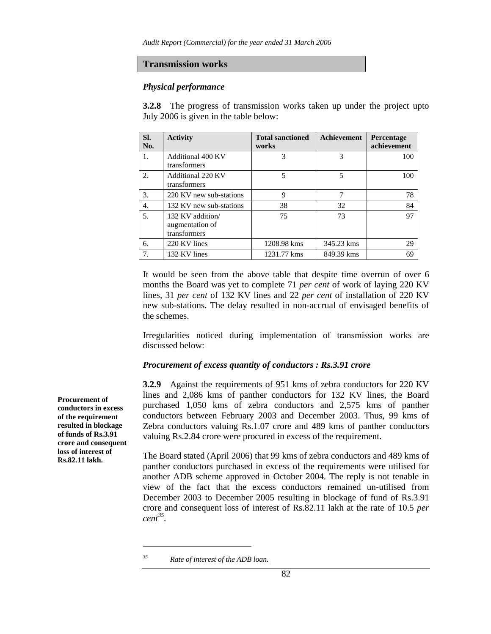#### **Transmission works**

#### *Physical performance*

**3.2.8** The progress of transmission works taken up under the project upto July 2006 is given in the table below:

| SI.<br>No.       | <b>Activity</b>                                     | <b>Total sanctioned</b><br>works | <b>Achievement</b> | Percentage<br>achievement |
|------------------|-----------------------------------------------------|----------------------------------|--------------------|---------------------------|
| 1.               | <b>Additional 400 KV</b><br>transformers            | 3                                | 3                  | 100                       |
| $\overline{2}$ . | Additional 220 KV<br>transformers                   | 5                                | 5                  | 100                       |
| 3.               | 220 KV new sub-stations                             | 9                                | 7                  | 78                        |
| 4.               | 132 KV new sub-stations                             | 38                               | 32                 | 84                        |
| 5.               | 132 KV addition/<br>augmentation of<br>transformers | 75                               | 73                 | 97                        |
| 6.               | 220 KV lines                                        | 1208.98 kms                      | 345.23 kms         | 29                        |
| 7.               | 132 KV lines                                        | 1231.77 kms                      | 849.39 kms         | 69                        |

It would be seen from the above table that despite time overrun of over 6 months the Board was yet to complete 71 *per cent* of work of laying 220 KV lines, 31 *per cent* of 132 KV lines and 22 *per cent* of installation of 220 KV new sub-stations. The delay resulted in non-accrual of envisaged benefits of the schemes.

Irregularities noticed during implementation of transmission works are discussed below:

#### *Procurement of excess quantity of conductors : Rs.3.91 crore*

**3.2.9** Against the requirements of 951 kms of zebra conductors for 220 KV lines and 2,086 kms of panther conductors for 132 KV lines, the Board purchased 1,050 kms of zebra conductors and 2,575 kms of panther conductors between February 2003 and December 2003. Thus, 99 kms of Zebra conductors valuing Rs.1.07 crore and 489 kms of panther conductors valuing Rs.2.84 crore were procured in excess of the requirement.

The Board stated (April 2006) that 99 kms of zebra conductors and 489 kms of panther conductors purchased in excess of the requirements were utilised for another ADB scheme approved in October 2004. The reply is not tenable in view of the fact that the excess conductors remained un-utilised from December 2003 to December 2005 resulting in blockage of fund of Rs.3.91 crore and consequent loss of interest of Rs.82.11 lakh at the rate of 10.5 *per cent35.*

l

**Procurement of conductors in excess of the requirement resulted in blockage of funds of Rs.3.91 crore and consequent loss of interest of Rs.82.11 lakh.** 

*<sup>35</sup> Rate of interest of the ADB loan.*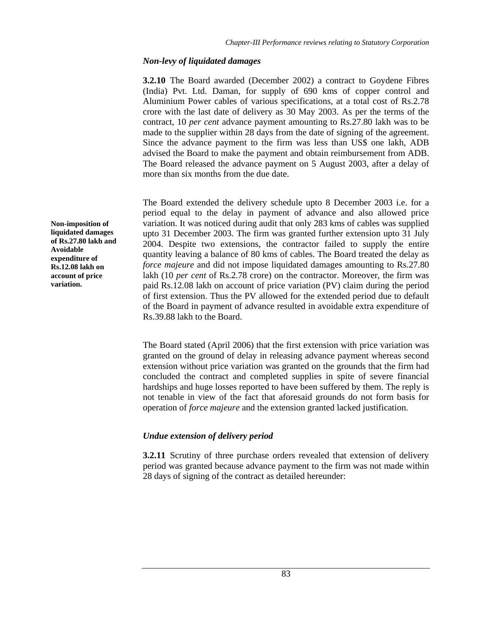## *Non-levy of liquidated damages*

**3.2.10** The Board awarded (December 2002) a contract to Goydene Fibres (India) Pvt. Ltd. Daman, for supply of 690 kms of copper control and Aluminium Power cables of various specifications, at a total cost of Rs.2.78 crore with the last date of delivery as 30 May 2003. As per the terms of the contract, 10 *per cent* advance payment amounting to Rs.27.80 lakh was to be made to the supplier within 28 days from the date of signing of the agreement. Since the advance payment to the firm was less than US\$ one lakh, ADB advised the Board to make the payment and obtain reimbursement from ADB. The Board released the advance payment on 5 August 2003, after a delay of more than six months from the due date.

The Board extended the delivery schedule upto 8 December 2003 i.e. for a period equal to the delay in payment of advance and also allowed price variation. It was noticed during audit that only 283 kms of cables was supplied upto 31 December 2003. The firm was granted further extension upto 31 July 2004. Despite two extensions, the contractor failed to supply the entire quantity leaving a balance of 80 kms of cables. The Board treated the delay as *force majeure* and did not impose liquidated damages amounting to Rs.27.80 lakh (10 *per cent* of Rs.2.78 crore) on the contractor. Moreover, the firm was paid Rs.12.08 lakh on account of price variation (PV) claim during the period of first extension. Thus the PV allowed for the extended period due to default of the Board in payment of advance resulted in avoidable extra expenditure of Rs.39.88 lakh to the Board.

The Board stated (April 2006) that the first extension with price variation was granted on the ground of delay in releasing advance payment whereas second extension without price variation was granted on the grounds that the firm had concluded the contract and completed supplies in spite of severe financial hardships and huge losses reported to have been suffered by them. The reply is not tenable in view of the fact that aforesaid grounds do not form basis for operation of *force majeure* and the extension granted lacked justification.

# *Undue extension of delivery period*

**3.2.11** Scrutiny of three purchase orders revealed that extension of delivery period was granted because advance payment to the firm was not made within 28 days of signing of the contract as detailed hereunder:

**Non-imposition of liquidated damages of Rs.27.80 lakh and Avoidable expenditure of Rs.12.08 lakh on account of price variation.**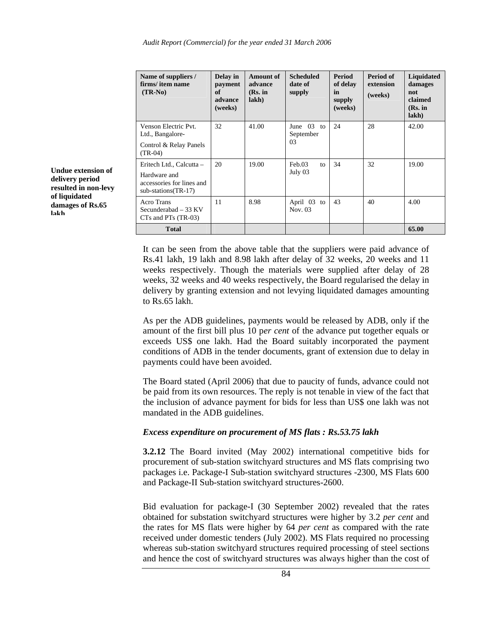| Name of suppliers /<br>firms/item name<br>$(TR-No)$              | Delay in<br>payment<br>of<br>advance<br>(weeks) | <b>Amount of</b><br>advance<br>(Rs. in<br>lakh) | <b>Scheduled</b><br>date of<br>supply | <b>Period</b><br>of delay<br>in<br>supply<br>(weeks) | Period of<br>extension<br>(weeks) | Liquidated<br>damages<br>not<br>claimed<br>(Rs. in<br>lakh) |
|------------------------------------------------------------------|-------------------------------------------------|-------------------------------------------------|---------------------------------------|------------------------------------------------------|-----------------------------------|-------------------------------------------------------------|
| Venson Electric Pvt.<br>Ltd., Bangalore-                         | 32                                              | 41.00                                           | June $03$ to<br>September             | 24                                                   | 28                                | 42.00                                                       |
| Control & Relay Panels<br>$(TR-04)$                              |                                                 |                                                 | 03                                    |                                                      |                                   |                                                             |
| Eritech Ltd., Calcutta –                                         | 20                                              | 19.00                                           | Feb.03<br>to                          | 34                                                   | 32                                | 19.00                                                       |
| Hardware and<br>accessories for lines and<br>sub-stations(TR-17) |                                                 |                                                 | July 03                               |                                                      |                                   |                                                             |
| Acro Trans<br>Secunderabad $-33$ KV<br>$CTs$ and $PTs$ (TR-03)   | 11                                              | 8.98                                            | April 03 to<br>Nov. 03                | 43                                                   | 40                                | 4.00                                                        |
| <b>Total</b>                                                     |                                                 |                                                 |                                       |                                                      |                                   | 65.00                                                       |

It can be seen from the above table that the suppliers were paid advance of Rs.41 lakh, 19 lakh and 8.98 lakh after delay of 32 weeks, 20 weeks and 11 weeks respectively. Though the materials were supplied after delay of 28 weeks, 32 weeks and 40 weeks respectively, the Board regularised the delay in delivery by granting extension and not levying liquidated damages amounting to Rs.65 lakh.

As per the ADB guidelines, payments would be released by ADB, only if the amount of the first bill plus 10 p*er cent* of the advance put together equals or exceeds US\$ one lakh. Had the Board suitably incorporated the payment conditions of ADB in the tender documents, grant of extension due to delay in payments could have been avoided.

The Board stated (April 2006) that due to paucity of funds, advance could not be paid from its own resources. The reply is not tenable in view of the fact that the inclusion of advance payment for bids for less than US\$ one lakh was not mandated in the ADB guidelines.

### *Excess expenditure on procurement of MS flats : Rs.53.75 lakh*

**3.2.12** The Board invited (May 2002) international competitive bids for procurement of sub-station switchyard structures and MS flats comprising two packages i.e. Package-I Sub-station switchyard structures -2300, MS Flats 600 and Package-II Sub-station switchyard structures-2600.

Bid evaluation for package-I (30 September 2002) revealed that the rates obtained for substation switchyard structures were higher by 3.2 *per cent* and the rates for MS flats were higher by 64 *per cent* as compared with the rate received under domestic tenders (July 2002). MS Flats required no processing whereas sub-station switchyard structures required processing of steel sections and hence the cost of switchyard structures was always higher than the cost of

**Undue extension of delivery period resulted in non-levy of liquidated damages of Rs.65 lakh**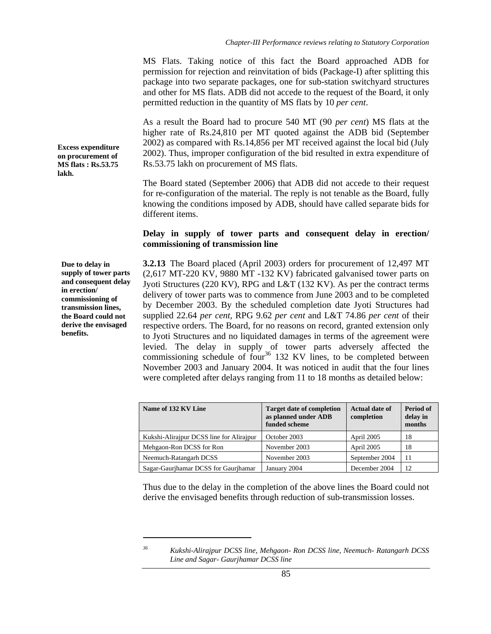MS Flats. Taking notice of this fact the Board approached ADB for permission for rejection and reinvitation of bids (Package-I) after splitting this package into two separate packages, one for sub-station switchyard structures and other for MS flats. ADB did not accede to the request of the Board, it only permitted reduction in the quantity of MS flats by 10 *per cent*.

As a result the Board had to procure 540 MT (90 *per cent*) MS flats at the higher rate of Rs.24,810 per MT quoted against the ADB bid (September 2002) as compared with Rs.14,856 per MT received against the local bid (July 2002). Thus, improper configuration of the bid resulted in extra expenditure of Rs.53.75 lakh on procurement of MS flats.

The Board stated (September 2006) that ADB did not accede to their request for re-configuration of the material. The reply is not tenable as the Board, fully knowing the conditions imposed by ADB, should have called separate bids for different items.

## **Delay in supply of tower parts and consequent delay in erection/ commissioning of transmission line**

**3.2.13** The Board placed (April 2003) orders for procurement of 12,497 MT (2,617 MT-220 KV, 9880 MT -132 KV) fabricated galvanised tower parts on Jyoti Structures (220 KV), RPG and L&T (132 KV). As per the contract terms delivery of tower parts was to commence from June 2003 and to be completed by December 2003. By the scheduled completion date Jyoti Structures had supplied 22.64 *per cent,* RPG 9.62 *per cent* and L&T 74.86 *per cent* of their respective orders. The Board, for no reasons on record, granted extension only to Jyoti Structures and no liquidated damages in terms of the agreement were levied. The delay in supply of tower parts adversely affected the commissioning schedule of four<sup>36</sup> 132 KV lines, to be completed between November 2003 and January 2004. It was noticed in audit that the four lines were completed after delays ranging from 11 to 18 months as detailed below:

| Name of 132 KV Line                      | <b>Target date of completion</b><br>as planned under ADB<br>funded scheme | <b>Actual date of</b><br>completion | Period of<br>delay in<br>months |
|------------------------------------------|---------------------------------------------------------------------------|-------------------------------------|---------------------------------|
| Kukshi-Alirajpur DCSS line for Alirajpur | October 2003                                                              | April 2005                          | 18                              |
| Mehgaon-Ron DCSS for Ron                 | November 2003                                                             | April 2005                          | 18                              |
| Neemuch-Ratangarh DCSS                   | November 2003                                                             | September 2004                      | 11                              |
| Sagar-Gaurihamar DCSS for Gaurihamar     | January 2004                                                              | December 2004                       | 12                              |

Thus due to the delay in the completion of the above lines the Board could not derive the envisaged benefits through reduction of sub-transmission losses.

l

**Excess expenditure on procurement of MS flats : Rs.53.75 lakh.** 

**Due to delay in supply of tower parts and consequent delay in erection/ commissioning of transmission lines, the Board could not derive the envisaged benefits.** 

*<sup>36</sup> Kukshi-Alirajpur DCSS line, Mehgaon- Ron DCSS line, Neemuch- Ratangarh DCSS Line and Sagar- Gaurjhamar DCSS line*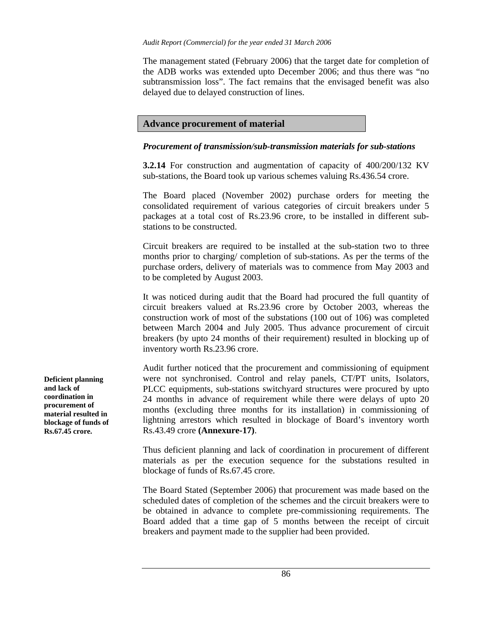The management stated (February 2006) that the target date for completion of the ADB works was extended upto December 2006; and thus there was "no subtransmission loss". The fact remains that the envisaged benefit was also delayed due to delayed construction of lines.

## **Advance procurement of material**

### *Procurement of transmission/sub-transmission materials for sub-stations*

**3.2.14** For construction and augmentation of capacity of 400/200/132 KV sub-stations, the Board took up various schemes valuing Rs.436.54 crore.

The Board placed (November 2002) purchase orders for meeting the consolidated requirement of various categories of circuit breakers under 5 packages at a total cost of Rs.23.96 crore, to be installed in different substations to be constructed.

Circuit breakers are required to be installed at the sub-station two to three months prior to charging/ completion of sub-stations. As per the terms of the purchase orders, delivery of materials was to commence from May 2003 and to be completed by August 2003.

It was noticed during audit that the Board had procured the full quantity of circuit breakers valued at Rs.23.96 crore by October 2003, whereas the construction work of most of the substations (100 out of 106) was completed between March 2004 and July 2005. Thus advance procurement of circuit breakers (by upto 24 months of their requirement) resulted in blocking up of inventory worth Rs.23.96 crore.

Audit further noticed that the procurement and commissioning of equipment were not synchronised. Control and relay panels, CT/PT units, Isolators, PLCC equipments, sub-stations switchyard structures were procured by upto 24 months in advance of requirement while there were delays of upto 20 months (excluding three months for its installation) in commissioning of lightning arrestors which resulted in blockage of Board's inventory worth Rs.43.49 crore **(Annexure-17)**.

Thus deficient planning and lack of coordination in procurement of different materials as per the execution sequence for the substations resulted in blockage of funds of Rs.67.45 crore.

The Board Stated (September 2006) that procurement was made based on the scheduled dates of completion of the schemes and the circuit breakers were to be obtained in advance to complete pre-commissioning requirements. The Board added that a time gap of 5 months between the receipt of circuit breakers and payment made to the supplier had been provided.

**Deficient planning and lack of coordination in procurement of material resulted in blockage of funds of Rs.67.45 crore.**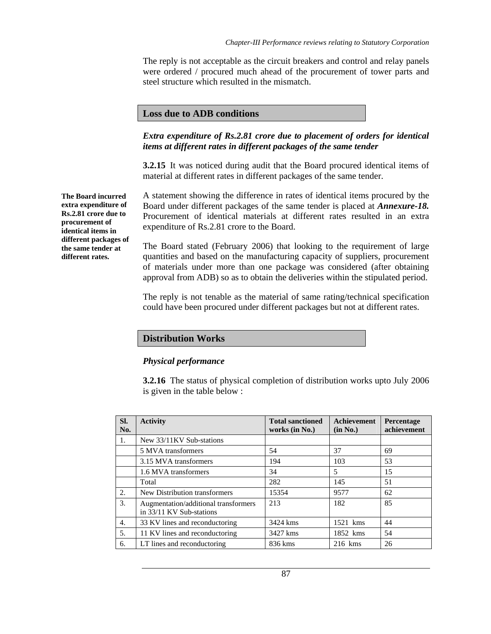The reply is not acceptable as the circuit breakers and control and relay panels were ordered / procured much ahead of the procurement of tower parts and steel structure which resulted in the mismatch.

### **Loss due to ADB conditions**

### *Extra expenditure of Rs.2.81 crore due to placement of orders for identical items at different rates in different packages of the same tender*

**3.2.15** It was noticed during audit that the Board procured identical items of material at different rates in different packages of the same tender.

A statement showing the difference in rates of identical items procured by the Board under different packages of the same tender is placed at *Annexure-18.* Procurement of identical materials at different rates resulted in an extra expenditure of Rs.2.81 crore to the Board.

The Board stated (February 2006) that looking to the requirement of large quantities and based on the manufacturing capacity of suppliers, procurement of materials under more than one package was considered (after obtaining approval from ADB) so as to obtain the deliveries within the stipulated period.

The reply is not tenable as the material of same rating/technical specification could have been procured under different packages but not at different rates.

# **Distribution Works**

#### *Physical performance*

**3.2.16** The status of physical completion of distribution works upto July 2006 is given in the table below :

| SI.<br>No. | <b>Activity</b>                                                  | <b>Total sanctioned</b><br>works (in No.) | <b>Achievement</b><br>(in No.) | Percentage<br>achievement |
|------------|------------------------------------------------------------------|-------------------------------------------|--------------------------------|---------------------------|
| 1.         | New 33/11KV Sub-stations                                         |                                           |                                |                           |
|            | 5 MVA transformers                                               | 54                                        | 37                             | 69                        |
|            | 3.15 MVA transformers                                            | 194                                       | 103                            | 53                        |
|            | 1.6 MVA transformers                                             | 34                                        | 5                              | 15                        |
|            | Total                                                            | 282                                       | 145                            | 51                        |
| 2.         | New Distribution transformers                                    | 15354                                     | 9577                           | 62                        |
| 3.         | Augmentation/additional transformers<br>in 33/11 KV Sub-stations | 213                                       | 182                            | 85                        |
| 4.         | 33 KV lines and reconductoring                                   | 3424 kms                                  | 1521 kms                       | 44                        |
| 5.         | 11 KV lines and reconductoring                                   | 3427 kms                                  | 1852 kms                       | 54                        |
| 6.         | LT lines and reconductoring                                      | 836 kms                                   | $216$ kms                      | 26                        |

**The Board incurred extra expenditure of Rs.2.81 crore due to procurement of identical items in different packages of the same tender at different rates.**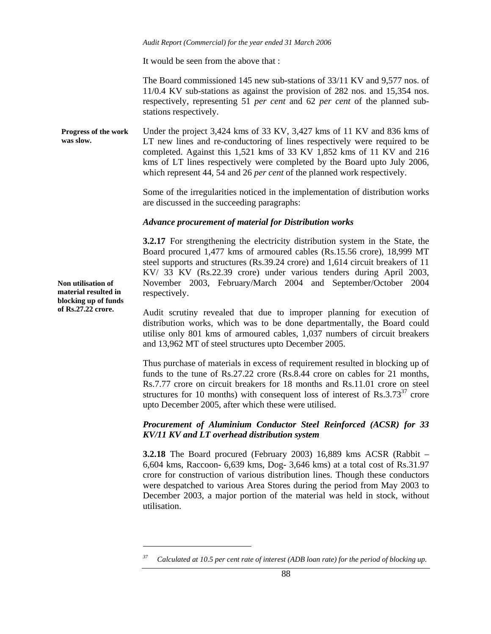It would be seen from the above that :

The Board commissioned 145 new sub-stations of 33/11 KV and 9,577 nos. of 11/0.4 KV sub-stations as against the provision of 282 nos. and 15,354 nos. respectively, representing 51 *per cent* and 62 *per cent* of the planned substations respectively.

Under the project 3,424 kms of 33 KV, 3,427 kms of 11 KV and 836 kms of LT new lines and re-conductoring of lines respectively were required to be completed. Against this 1,521 kms of 33 KV 1,852 kms of 11 KV and 216 kms of LT lines respectively were completed by the Board upto July 2006, which represent 44, 54 and 26 *per cent* of the planned work respectively. **Progress of the work was slow.** 

> Some of the irregularities noticed in the implementation of distribution works are discussed in the succeeding paragraphs:

### *Advance procurement of material for Distribution works*

**3.2.17** For strengthening the electricity distribution system in the State, the Board procured 1,477 kms of armoured cables (Rs.15.56 crore), 18,999 MT steel supports and structures (Rs.39.24 crore) and 1,614 circuit breakers of 11 KV/ 33 KV (Rs.22.39 crore) under various tenders during April 2003, November 2003, February/March 2004 and September/October 2004 respectively.

Audit scrutiny revealed that due to improper planning for execution of distribution works, which was to be done departmentally, the Board could utilise only 801 kms of armoured cables, 1,037 numbers of circuit breakers and 13,962 MT of steel structures upto December 2005.

Thus purchase of materials in excess of requirement resulted in blocking up of funds to the tune of Rs.27.22 crore (Rs.8.44 crore on cables for 21 months, Rs.7.77 crore on circuit breakers for 18 months and Rs.11.01 crore on steel structures for 10 months) with consequent loss of interest of  $\text{Rs.3.73}^{37}$  crore upto December 2005, after which these were utilised.

### *Procurement of Aluminium Conductor Steel Reinforced (ACSR) for 33 KV/11 KV and LT overhead distribution system*

**3.2.18** The Board procured (February 2003) 16,889 kms ACSR (Rabbit – 6,604 kms, Raccoon- 6,639 kms, Dog- 3,646 kms) at a total cost of Rs.31.97 crore for construction of various distribution lines. Though these conductors were despatched to various Area Stores during the period from May 2003 to December 2003, a major portion of the material was held in stock, without utilisation.

**Non utilisation of material resulted in blocking up of funds of Rs.27.22 crore.** 

l

*<sup>37</sup> Calculated at 10.5 per cent rate of interest (ADB loan rate) for the period of blocking up.*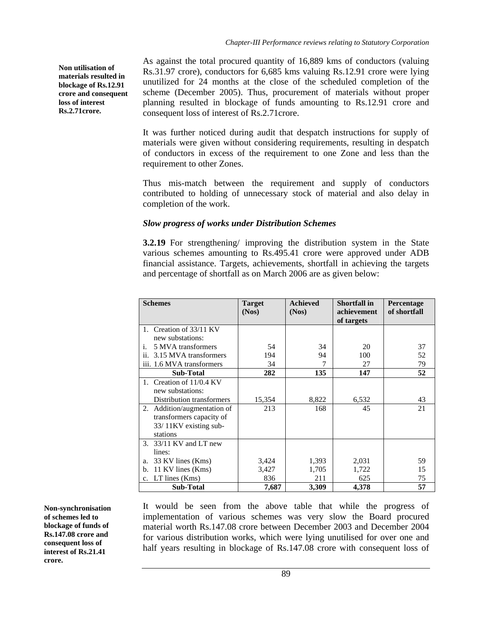**Non utilisation of materials resulted in blockage of Rs.12.91 crore and consequent loss of interest Rs.2.71crore.** 

As against the total procured quantity of 16,889 kms of conductors (valuing Rs.31.97 crore), conductors for 6,685 kms valuing Rs.12.91 crore were lying unutilized for 24 months at the close of the scheduled completion of the scheme (December 2005). Thus, procurement of materials without proper planning resulted in blockage of funds amounting to Rs.12.91 crore and consequent loss of interest of Rs.2.71crore.

It was further noticed during audit that despatch instructions for supply of materials were given without considering requirements, resulting in despatch of conductors in excess of the requirement to one Zone and less than the requirement to other Zones.

Thus mis-match between the requirement and supply of conductors contributed to holding of unnecessary stock of material and also delay in completion of the work.

# *Slow progress of works under Distribution Schemes*

**3.2.19** For strengthening/ improving the distribution system in the State various schemes amounting to Rs.495.41 crore were approved under ADB financial assistance. Targets, achievements, shortfall in achieving the targets and percentage of shortfall as on March 2006 are as given below:

| <b>Schemes</b>                   | <b>Target</b> | <b>Achieved</b> | <b>Shortfall in</b> | Percentage   |
|----------------------------------|---------------|-----------------|---------------------|--------------|
|                                  | (Nos)         | (Nos)           | achievement         | of shortfall |
|                                  |               |                 | of targets          |              |
| Creation of 33/11 KV<br>1.       |               |                 |                     |              |
| new substations:                 |               |                 |                     |              |
| 5 MVA transformers<br>i.         | 54            | 34              | 20                  | 37           |
| ii. 3.15 MVA transformers        | 194           | 94              | 100                 | 52           |
| iii. 1.6 MVA transformers        | 34            |                 | 27                  | 79           |
| <b>Sub-Total</b>                 | 282           | 135             | 147                 | 52           |
| Creation of 11/0.4 KV<br>$1_{-}$ |               |                 |                     |              |
| new substations:                 |               |                 |                     |              |
| Distribution transformers        | 15,354        | 8,822           | 6,532               | 43           |
| 2. Addition/augmentation of      | 213           | 168             | 45                  | 21           |
| transformers capacity of         |               |                 |                     |              |
| 33/11KV existing sub-            |               |                 |                     |              |
| stations                         |               |                 |                     |              |
| 3. 33/11 KV and LT new           |               |                 |                     |              |
| lines:                           |               |                 |                     |              |
| 33 KV lines (Kms)<br>a.          | 3,424         | 1,393           | 2,031               | 59           |
| 11 KV lines (Kms)<br>b.          | 3,427         | 1,705           | 1,722               | 15           |
| c. LT lines (Kms)                | 836           | 211             | 625                 | 75           |
| <b>Sub-Total</b>                 | 7,687         | 3,309           | 4,378               | 57           |

**Non-synchronisation of schemes led to blockage of funds of Rs.147.08 crore and consequent loss of interest of Rs.21.41 crore.** 

It would be seen from the above table that while the progress of implementation of various schemes was very slow the Board procured material worth Rs.147.08 crore between December 2003 and December 2004 for various distribution works, which were lying unutilised for over one and half years resulting in blockage of Rs.147.08 crore with consequent loss of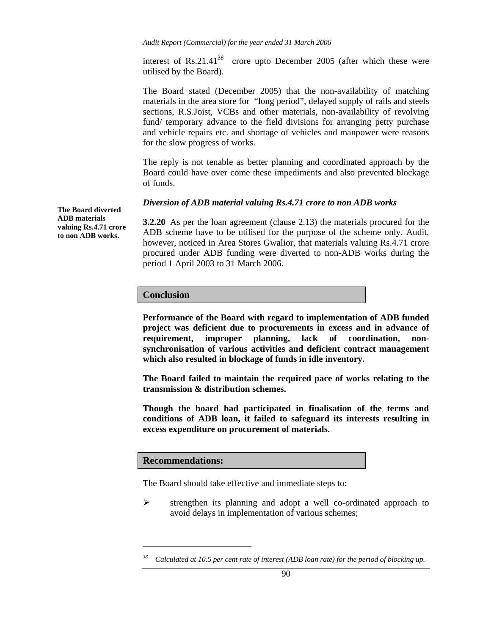interest of Rs.21.41<sup>38</sup> crore upto December 2005 (after which these were utilised by the Board).

The Board stated (December 2005) that the non-availability of matching materials in the area store for "long period", delayed supply of rails and steels sections, R.S.Joist, VCBs and other materials, non-availability of revolving fund/ temporary advance to the field divisions for arranging petty purchase and vehicle repairs etc. and shortage of vehicles and manpower were reasons for the slow progress of works.

The reply is not tenable as better planning and coordinated approach by the Board could have over come these impediments and also prevented blockage of funds.

#### *Diversion of ADB material valuing Rs.4.71 crore to non ADB works*

**3.2.20** As per the loan agreement (clause 2.13) the materials procured for the ADB scheme have to be utilised for the purpose of the scheme only. Audit, however, noticed in Area Stores Gwalior, that materials valuing Rs.4.71 crore procured under ADB funding were diverted to non-ADB works during the period 1 April 2003 to 31 March 2006.

### **Conclusion**

**Performance of the Board with regard to implementation of ADB funded project was deficient due to procurements in excess and in advance of requirement, improper planning, lack of coordination, nonsynchronisation of various activities and deficient contract management which also resulted in blockage of funds in idle inventory.** 

**The Board failed to maintain the required pace of works relating to the transmission & distribution schemes.** 

**Though the board had participated in finalisation of the terms and conditions of ADB loan, it failed to safeguard its interests resulting in excess expenditure on procurement of materials.** 

#### **Recommendations:**

l

The Board should take effective and immediate steps to:

¾ strengthen its planning and adopt a well co-ordinated approach to avoid delays in implementation of various schemes;

**The Board diverted ADB materials valuing Rs.4.71 crore to non ADB works.** 

*<sup>38</sup> Calculated at 10.5 per cent rate of interest (ADB loan rate) for the period of blocking up.*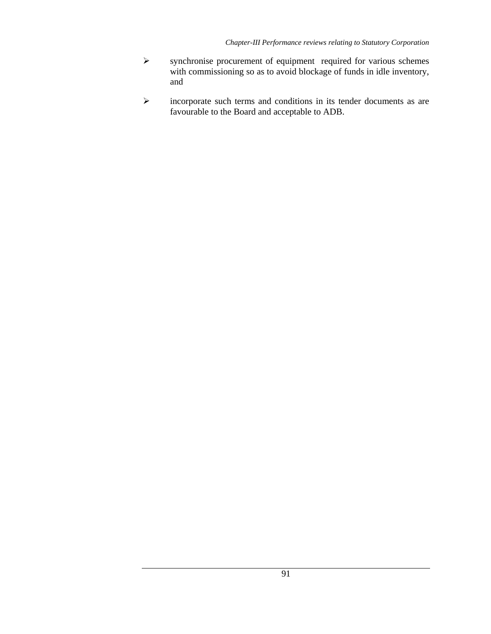- ¾ synchronise procurement of equipment required for various schemes with commissioning so as to avoid blockage of funds in idle inventory, and
- ¾ incorporate such terms and conditions in its tender documents as are favourable to the Board and acceptable to ADB.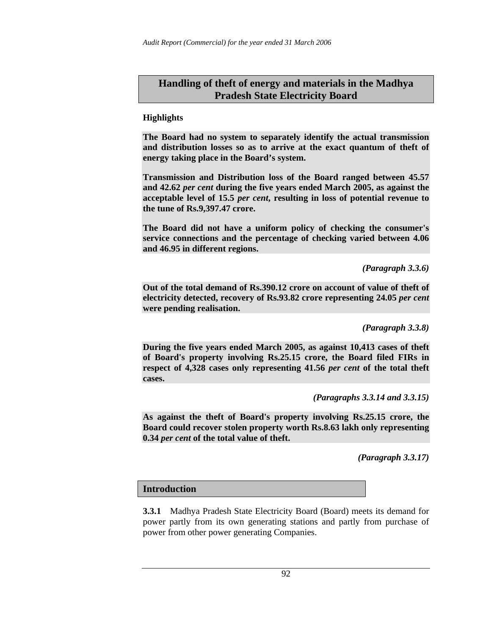# **Handling of theft of energy and materials in the Madhya Pradesh State Electricity Board**

## **Highlights**

**The Board had no system to separately identify the actual transmission and distribution losses so as to arrive at the exact quantum of theft of energy taking place in the Board's system.** 

**Transmission and Distribution loss of the Board ranged between 45.57 and 42.62** *per cent* **during the five years ended March 2005, as against the acceptable level of 15.5** *per cent***, resulting in loss of potential revenue to the tune of Rs.9,397.47 crore.** 

**The Board did not have a uniform policy of checking the consumer's service connections and the percentage of checking varied between 4.06 and 46.95 in different regions.** 

*(Paragraph 3.3.6)* 

**Out of the total demand of Rs.390.12 crore on account of value of theft of electricity detected, recovery of Rs.93.82 crore representing 24.05** *per cent* **were pending realisation.** 

*(Paragraph 3.3.8)* 

**During the five years ended March 2005, as against 10,413 cases of theft of Board's property involving Rs.25.15 crore, the Board filed FIRs in respect of 4,328 cases only representing 41.56** *per cent* **of the total theft cases.** 

*(Paragraphs 3.3.14 and 3.3.15)* 

**As against the theft of Board's property involving Rs.25.15 crore, the Board could recover stolen property worth Rs.8.63 lakh only representing 0.34** *per cent* **of the total value of theft.** 

*(Paragraph 3.3.17)* 

# **Introduction**

**3.3.1** Madhya Pradesh State Electricity Board (Board) meets its demand for power partly from its own generating stations and partly from purchase of power from other power generating Companies.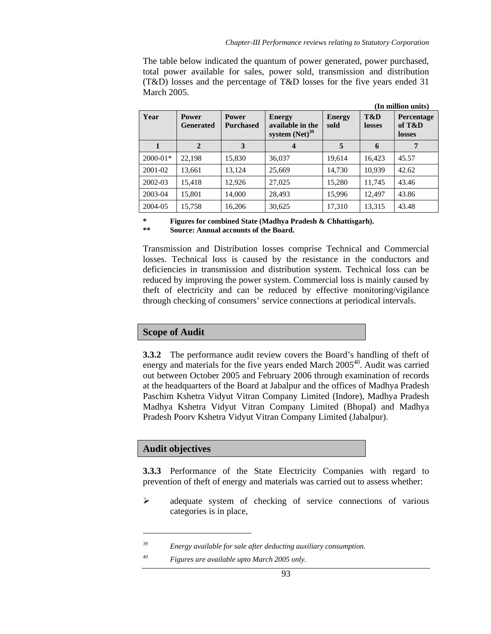The table below indicated the quantum of power generated, power purchased, total power available for sales, power sold, transmission and distribution (T&D) losses and the percentage of T&D losses for the five years ended 31 March 2005.

|              |                                  |                                                                                              |                  |                       |               | (In million units)                    |  |  |
|--------------|----------------------------------|----------------------------------------------------------------------------------------------|------------------|-----------------------|---------------|---------------------------------------|--|--|
| Year         | <b>Power</b><br><b>Generated</b> | <b>Power</b><br><b>Energy</b><br>available in the<br><b>Purchased</b><br>system $(Net)^{39}$ |                  | <b>Energy</b><br>sold | T&D<br>losses | <b>Percentage</b><br>of T&D<br>losses |  |  |
|              | $\mathbf{2}$                     | 3                                                                                            | $\boldsymbol{4}$ | 5                     | 6             |                                       |  |  |
| $2000 - 01*$ | 22.198                           | 15,830                                                                                       | 36,037           | 19,614                | 16,423        | 45.57                                 |  |  |
| 2001-02      | 13,661                           | 13,124                                                                                       | 25,669           | 14,730                | 10,939        | 42.62                                 |  |  |
| 2002-03      | 15.418                           | 12,926                                                                                       | 27,025           | 15,280                | 11,745        | 43.46                                 |  |  |
| 2003-04      | 15,801                           | 14,000                                                                                       | 28,493           | 15,996                | 12.497        | 43.86                                 |  |  |
| 2004-05      | 15,758                           | 16,206                                                                                       | 30,625           | 17,310                | 13,315        | 43.48                                 |  |  |

**\* Figures for combined State (Madhya Pradesh & Chhattisgarh).** 

Source: Annual accounts of the Board.

Transmission and Distribution losses comprise Technical and Commercial losses. Technical loss is caused by the resistance in the conductors and deficiencies in transmission and distribution system. Technical loss can be reduced by improving the power system. Commercial loss is mainly caused by theft of electricity and can be reduced by effective monitoring/vigilance through checking of consumers' service connections at periodical intervals.

# **Scope of Audit**

**3.3.2** The performance audit review covers the Board's handling of theft of energy and materials for the five years ended March  $2005<sup>40</sup>$ . Audit was carried out between October 2005 and February 2006 through examination of records at the headquarters of the Board at Jabalpur and the offices of Madhya Pradesh Paschim Kshetra Vidyut Vitran Company Limited (Indore), Madhya Pradesh Madhya Kshetra Vidyut Vitran Company Limited (Bhopal) and Madhya Pradesh Poorv Kshetra Vidyut Vitran Company Limited (Jabalpur).

# **Audit objectives**

l

**3.3.3** Performance of the State Electricity Companies with regard to prevention of theft of energy and materials was carried out to assess whether:

¾ adequate system of checking of service connections of various categories is in place,

*39 Energy available for sale after deducting auxiliary consumption.* 

*<sup>40</sup> Figures are available upto March 2005 only.*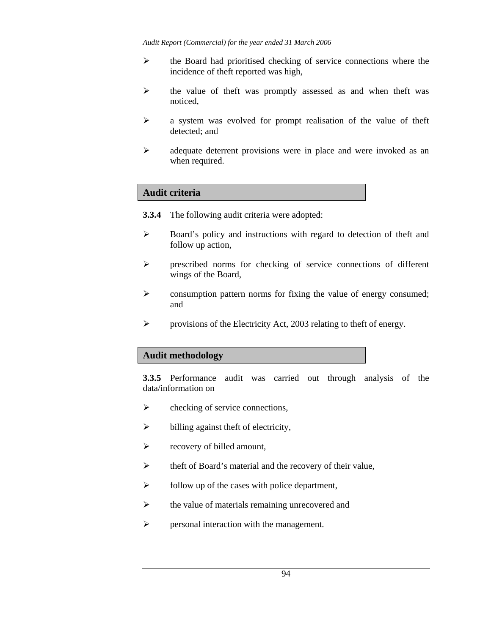- ¾ the Board had prioritised checking of service connections where the incidence of theft reported was high,
- ¾ the value of theft was promptly assessed as and when theft was noticed,
- $\triangleright$  a system was evolved for prompt realisation of the value of theft detected; and
- ¾ adequate deterrent provisions were in place and were invoked as an when required.

## **Audit criteria**

- **3.3.4** The following audit criteria were adopted:
- ¾ Board's policy and instructions with regard to detection of theft and follow up action,
- ¾ prescribed norms for checking of service connections of different wings of the Board,
- $\triangleright$  consumption pattern norms for fixing the value of energy consumed; and
- $\triangleright$  provisions of the Electricity Act, 2003 relating to theft of energy.

### **Audit methodology**

**3.3.5** Performance audit was carried out through analysis of the data/information on

- $\triangleright$  checking of service connections,
- $\triangleright$  billing against theft of electricity,
- $\triangleright$  recovery of billed amount,
- $\triangleright$  theft of Board's material and the recovery of their value,
- $\triangleright$  follow up of the cases with police department,
- $\triangleright$  the value of materials remaining unrecovered and
- $\triangleright$  personal interaction with the management.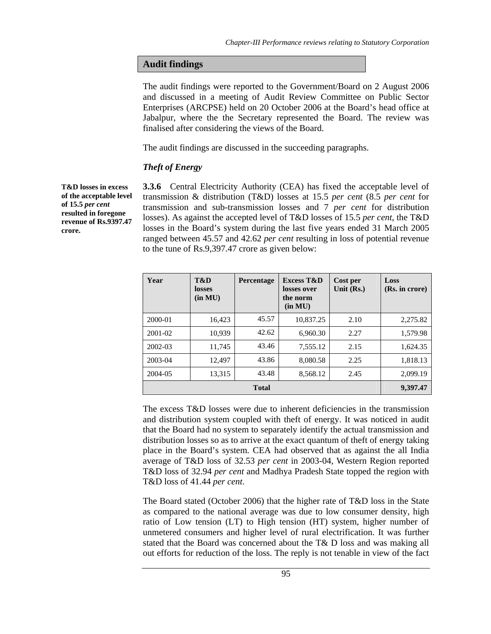### **Audit findings**

The audit findings were reported to the Government/Board on 2 August 2006 and discussed in a meeting of Audit Review Committee on Public Sector Enterprises (ARCPSE) held on 20 October 2006 at the Board's head office at Jabalpur, where the the Secretary represented the Board. The review was finalised after considering the views of the Board.

The audit findings are discussed in the succeeding paragraphs.

#### *Theft of Energy*

**T&D losses in excess of the acceptable level of 15.5** *per cent*  **resulted in foregone revenue of Rs.9397.47 crore.** 

**3.3.6** Central Electricity Authority (CEA) has fixed the acceptable level of transmission & distribution (T&D) losses at 15.5 *per cent* (8.5 *per cent* for transmission and sub-transmission losses and 7 *per cent* for distribution losses). As against the accepted level of T&D losses of 15.5 *per cent*, the T&D losses in the Board's system during the last five years ended 31 March 2005 ranged between 45.57 and 42.62 *per cent* resulting in loss of potential revenue to the tune of Rs.9,397.47 crore as given below:

| Year        | T&D<br>losses<br>(in MU) | Percentage | <b>Excess T&amp;D</b><br>losses over<br>the norm<br>(in MU) | Cost per<br>Unit $(Rs.)$ | Loss<br>(Rs. in crore) |
|-------------|--------------------------|------------|-------------------------------------------------------------|--------------------------|------------------------|
| 2000-01     | 16,423                   | 45.57      | 10,837.25                                                   | 2.10                     | 2,275.82               |
| $2001 - 02$ | 10,939                   | 42.62      | 6.960.30                                                    | 2.27                     | 1,579.98               |
| 2002-03     | 11,745                   | 43.46      | 7,555.12                                                    | 2.15                     | 1,624.35               |
| 2003-04     | 12,497                   | 43.86      | 8,080.58                                                    | 2.25                     | 1,818.13               |
| 2004-05     | 13,315                   | 43.48      | 8,568.12                                                    | 2.45                     | 2,099.19               |
|             | 9,397.47                 |            |                                                             |                          |                        |

The excess T&D losses were due to inherent deficiencies in the transmission and distribution system coupled with theft of energy. It was noticed in audit that the Board had no system to separately identify the actual transmission and distribution losses so as to arrive at the exact quantum of theft of energy taking place in the Board's system. CEA had observed that as against the all India average of T&D loss of 32.53 *per cent* in 2003-04, Western Region reported T&D loss of 32.94 *per cent* and Madhya Pradesh State topped the region with T&D loss of 41.44 *per cent*.

The Board stated (October 2006) that the higher rate of T&D loss in the State as compared to the national average was due to low consumer density, high ratio of Low tension (LT) to High tension (HT) system, higher number of unmetered consumers and higher level of rural electrification. It was further stated that the Board was concerned about the T& D loss and was making all out efforts for reduction of the loss. The reply is not tenable in view of the fact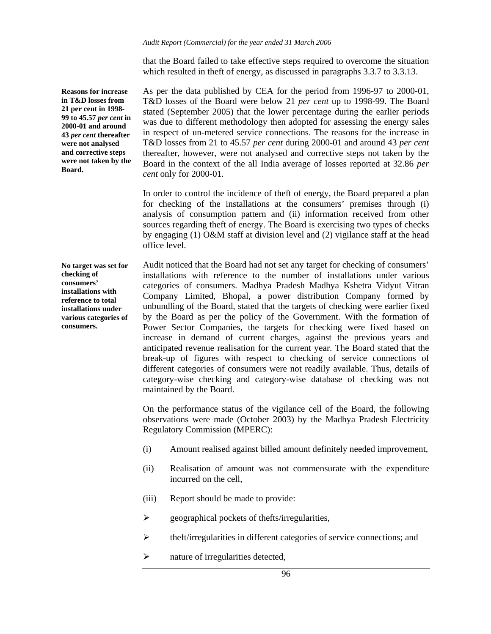that the Board failed to take effective steps required to overcome the situation which resulted in the ft of energy, as discussed in paragraphs 3.3.7 to 3.3.13.

**Reasons for increase in T&D losses from 21 per cent in 1998- 99 to 45.57** *per cent* **in 2000-01 and around 43** *per cent* **thereafter were not analysed and corrective steps were not taken by the Board.** 

As per the data published by CEA for the period from 1996-97 to 2000-01, T&D losses of the Board were below 21 *per cent* up to 1998-99. The Board stated (September 2005) that the lower percentage during the earlier periods was due to different methodology then adopted for assessing the energy sales in respect of un-metered service connections. The reasons for the increase in T&D losses from 21 to 45.57 *per cent* during 2000-01 and around 43 *per cent* thereafter, however, were not analysed and corrective steps not taken by the Board in the context of the all India average of losses reported at 32.86 *per cent* only for 2000-01.

In order to control the incidence of theft of energy, the Board prepared a plan for checking of the installations at the consumers' premises through (i) analysis of consumption pattern and (ii) information received from other sources regarding theft of energy. The Board is exercising two types of checks by engaging (1) O&M staff at division level and (2) vigilance staff at the head office level.

**No target was set for checking of consumers' installations with reference to total installations under various categories of consumers.** 

Audit noticed that the Board had not set any target for checking of consumers' installations with reference to the number of installations under various categories of consumers. Madhya Pradesh Madhya Kshetra Vidyut Vitran Company Limited, Bhopal, a power distribution Company formed by unbundling of the Board, stated that the targets of checking were earlier fixed by the Board as per the policy of the Government. With the formation of Power Sector Companies, the targets for checking were fixed based on increase in demand of current charges, against the previous years and anticipated revenue realisation for the current year. The Board stated that the break-up of figures with respect to checking of service connections of different categories of consumers were not readily available. Thus, details of category-wise checking and category-wise database of checking was not maintained by the Board.

On the performance status of the vigilance cell of the Board, the following observations were made (October 2003) by the Madhya Pradesh Electricity Regulatory Commission (MPERC):

- (i) Amount realised against billed amount definitely needed improvement,
- (ii) Realisation of amount was not commensurate with the expenditure incurred on the cell,
- (iii) Report should be made to provide:
- $\triangleright$  geographical pockets of thefts/irregularities,
- ¾ theft/irregularities in different categories of service connections; and
- $\triangleright$  nature of irregularities detected,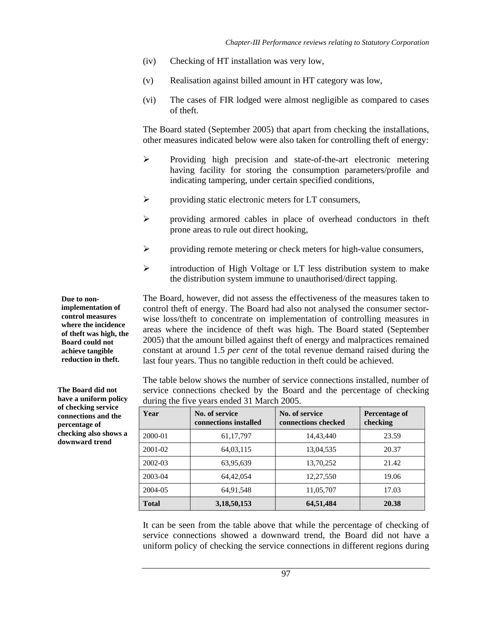- (iv) Checking of HT installation was very low,
- (v) Realisation against billed amount in HT category was low,
- (vi) The cases of FIR lodged were almost negligible as compared to cases of theft.

The Board stated (September 2005) that apart from checking the installations, other measures indicated below were also taken for controlling theft of energy:

- ¾ Providing high precision and state-of-the-art electronic metering having facility for storing the consumption parameters/profile and indicating tampering, under certain specified conditions,
- $\triangleright$  providing static electronic meters for LT consumers,
- ¾ providing armored cables in place of overhead conductors in theft prone areas to rule out direct hooking,
- $\triangleright$  providing remote metering or check meters for high-value consumers,
- ¾ introduction of High Voltage or LT less distribution system to make the distribution system immune to unauthorised/direct tapping.

The Board, however, did not assess the effectiveness of the measures taken to control theft of energy. The Board had also not analysed the consumer sectorwise loss/theft to concentrate on implementation of controlling measures in areas where the incidence of theft was high. The Board stated (September 2005) that the amount billed against theft of energy and malpractices remained constant at around 1.5 *per cent* of the total revenue demand raised during the last four years. Thus no tangible reduction in theft could be achieved.

The table below shows the number of service connections installed, number of service connections checked by the Board and the percentage of checking during the five years ended 31 March 2005.

| Year         | No. of service<br>connections installed | No. of service<br>connections checked | Percentage of<br>checking |
|--------------|-----------------------------------------|---------------------------------------|---------------------------|
| 2000-01      | 61, 17, 797                             | 14,43,440                             | 23.59                     |
| 2001-02      | 64,03,115                               | 13,04,535                             | 20.37                     |
| 2002-03      | 63,95,639                               | 13,70,252                             | 21.42                     |
| 2003-04      | 64,42,054                               | 12,27,550                             | 19.06                     |
| 2004-05      | 64,91,548                               | 11,05,707                             | 17.03                     |
| <b>Total</b> | 3,18,50,153                             | 64,51,484                             | 20.38                     |

It can be seen from the table above that while the percentage of checking of service connections showed a downward trend, the Board did not have a uniform policy of checking the service connections in different regions during

**implementation of control measures where the incidence of theft was high, the Board could not achieve tangible reduction in theft.** 

**Due to non-**

**The Board did not have a uniform policy of checking service connections and the percentage of checking also shows a downward trend**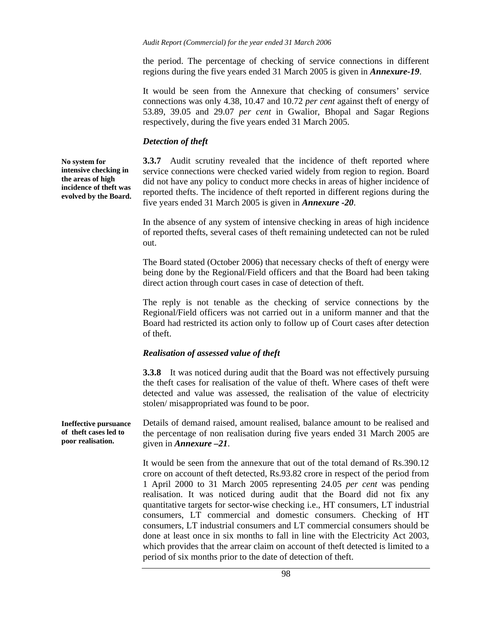the period. The percentage of checking of service connections in different regions during the five years ended 31 March 2005 is given in *Annexure-19*.

It would be seen from the Annexure that checking of consumers' service connections was only 4.38*,* 10.47 and 10.72 *per cent* against theft of energy of 53.89, 39.05 and 29.07 *per cent* in Gwalior, Bhopal and Sagar Regions respectively, during the five years ended 31 March 2005.

## *Detection of theft*

**No system for intensive checking in the areas of high incidence of theft was evolved by the Board.** 

**3.3.7** Audit scrutiny revealed that the incidence of theft reported where service connections were checked varied widely from region to region. Board did not have any policy to conduct more checks in areas of higher incidence of reported thefts. The incidence of theft reported in different regions during the five years ended 31 March 2005 is given in *Annexure -20*.

In the absence of any system of intensive checking in areas of high incidence of reported thefts, several cases of theft remaining undetected can not be ruled out.

The Board stated (October 2006) that necessary checks of theft of energy were being done by the Regional/Field officers and that the Board had been taking direct action through court cases in case of detection of theft.

The reply is not tenable as the checking of service connections by the Regional/Field officers was not carried out in a uniform manner and that the Board had restricted its action only to follow up of Court cases after detection of theft.

### *Realisation of assessed value of theft*

**3.3.8** It was noticed during audit that the Board was not effectively pursuing the theft cases for realisation of the value of theft. Where cases of theft were detected and value was assessed, the realisation of the value of electricity stolen/ misappropriated was found to be poor.

Details of demand raised, amount realised, balance amount to be realised and the percentage of non realisation during five years ended 31 March 2005 are given in *Annexure –21*. **Ineffective pursuance of theft cases led to poor realisation.** 

> It would be seen from the annexure that out of the total demand of Rs.390.12 crore on account of theft detected, Rs.93.82 crore in respect of the period from 1 April 2000 to 31 March 2005 representing 24.05 *per cent* was pending realisation. It was noticed during audit that the Board did not fix any quantitative targets for sector-wise checking i.e., HT consumers, LT industrial consumers, LT commercial and domestic consumers. Checking of HT consumers, LT industrial consumers and LT commercial consumers should be done at least once in six months to fall in line with the Electricity Act 2003, which provides that the arrear claim on account of theft detected is limited to a period of six months prior to the date of detection of theft.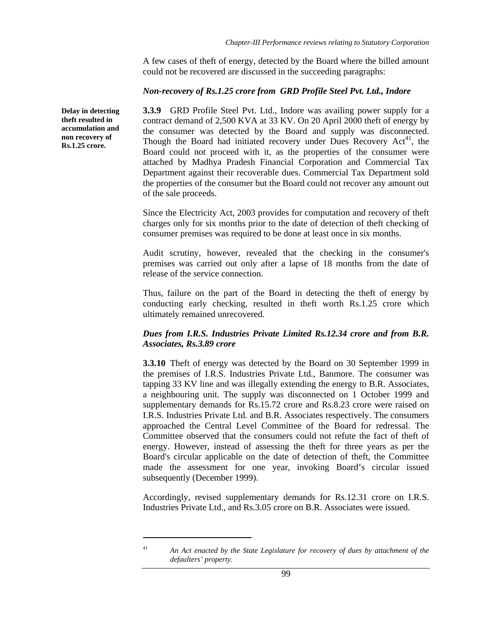A few cases of theft of energy, detected by the Board where the billed amount could not be recovered are discussed in the succeeding paragraphs:

### *Non-recovery of Rs.1.25 crore from GRD Profile Steel Pvt. Ltd., Indore*

**3.3.9** GRD Profile Steel Pvt. Ltd., Indore was availing power supply for a contract demand of 2,500 KVA at 33 KV. On 20 April 2000 theft of energy by the consumer was detected by the Board and supply was disconnected. Though the Board had initiated recovery under Dues Recovery  $Act<sup>41</sup>$ , the Board could not proceed with it, as the properties of the consumer were attached by Madhya Pradesh Financial Corporation and Commercial Tax Department against their recoverable dues. Commercial Tax Department sold the properties of the consumer but the Board could not recover any amount out of the sale proceeds.

Since the Electricity Act, 2003 provides for computation and recovery of theft charges only for six months prior to the date of detection of theft checking of consumer premises was required to be done at least once in six months.

Audit scrutiny, however, revealed that the checking in the consumer's premises was carried out only after a lapse of 18 months from the date of release of the service connection.

Thus, failure on the part of the Board in detecting the theft of energy by conducting early checking, resulted in theft worth Rs.1.25 crore which ultimately remained unrecovered.

# *Dues from I.R.S. Industries Private Limited Rs.12.34 crore and from B.R. Associates, Rs.3.89 crore*

**3.3.10** Theft of energy was detected by the Board on 30 September 1999 in the premises of I.R.S. Industries Private Ltd., Banmore. The consumer was tapping 33 KV line and was illegally extending the energy to B.R. Associates, a neighbouring unit. The supply was disconnected on 1 October 1999 and supplementary demands for Rs.15.72 crore and Rs.8.23 crore were raised on I.R.S. Industries Private Ltd. and B.R. Associates respectively. The consumers approached the Central Level Committee of the Board for redressal. The Committee observed that the consumers could not refute the fact of theft of energy. However, instead of assessing the theft for three years as per the Board's circular applicable on the date of detection of theft, the Committee made the assessment for one year, invoking Board's circular issued subsequently (December 1999).

Accordingly, revised supplementary demands for Rs.12.31 crore on I.R.S. Industries Private Ltd., and Rs.3.05 crore on B.R. Associates were issued.

l

**Delay in detecting theft resulted in accumulation and non recovery of Rs.1.25 crore.** 

*<sup>41</sup> An Act enacted by the State Legislature for recovery of dues by attachment of the defaulters' property.*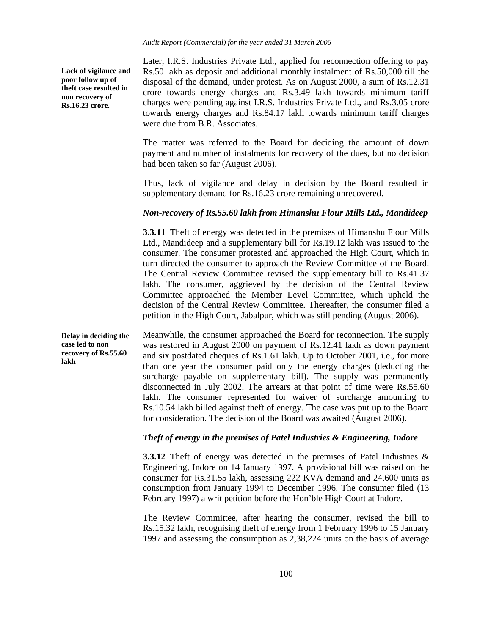**Lack of vigilance and poor follow up of theft case resulted in non recovery of Rs.16.23 crore.** 

Later, I.R.S. Industries Private Ltd., applied for reconnection offering to pay Rs.50 lakh as deposit and additional monthly instalment of Rs.50,000 till the disposal of the demand, under protest. As on August 2000, a sum of Rs.12.31 crore towards energy charges and Rs.3.49 lakh towards minimum tariff charges were pending against I.R.S. Industries Private Ltd., and Rs.3.05 crore towards energy charges and Rs.84.17 lakh towards minimum tariff charges were due from B.R. Associates.

The matter was referred to the Board for deciding the amount of down payment and number of instalments for recovery of the dues, but no decision had been taken so far (August 2006).

Thus, lack of vigilance and delay in decision by the Board resulted in supplementary demand for Rs.16.23 crore remaining unrecovered.

# *Non-recovery of Rs.55.60 lakh from Himanshu Flour Mills Ltd., Mandideep*

**3.3.11** Theft of energy was detected in the premises of Himanshu Flour Mills Ltd., Mandideep and a supplementary bill for Rs.19.12 lakh was issued to the consumer. The consumer protested and approached the High Court, which in turn directed the consumer to approach the Review Committee of the Board. The Central Review Committee revised the supplementary bill to Rs.41.37 lakh. The consumer, aggrieved by the decision of the Central Review Committee approached the Member Level Committee, which upheld the decision of the Central Review Committee. Thereafter, the consumer filed a petition in the High Court, Jabalpur, which was still pending (August 2006).

Meanwhile, the consumer approached the Board for reconnection. The supply was restored in August 2000 on payment of Rs.12.41 lakh as down payment and six postdated cheques of Rs.1.61 lakh. Up to October 2001, i.e., for more than one year the consumer paid only the energy charges (deducting the surcharge payable on supplementary bill). The supply was permanently disconnected in July 2002. The arrears at that point of time were Rs.55.60 lakh. The consumer represented for waiver of surcharge amounting to Rs.10.54 lakh billed against theft of energy. The case was put up to the Board for consideration. The decision of the Board was awaited (August 2006). **Delay in deciding the case led to non recovery of Rs.55.60 lakh** 

# *Theft of energy in the premises of Patel Industries & Engineering, Indore*

**3.3.12** Theft of energy was detected in the premises of Patel Industries & Engineering, Indore on 14 January 1997. A provisional bill was raised on the consumer for Rs.31.55 lakh, assessing 222 KVA demand and 24,600 units as consumption from January 1994 to December 1996. The consumer filed (13 February 1997) a writ petition before the Hon'ble High Court at Indore.

The Review Committee, after hearing the consumer, revised the bill to Rs.15.32 lakh, recognising theft of energy from 1 February 1996 to 15 January 1997 and assessing the consumption as 2,38,224 units on the basis of average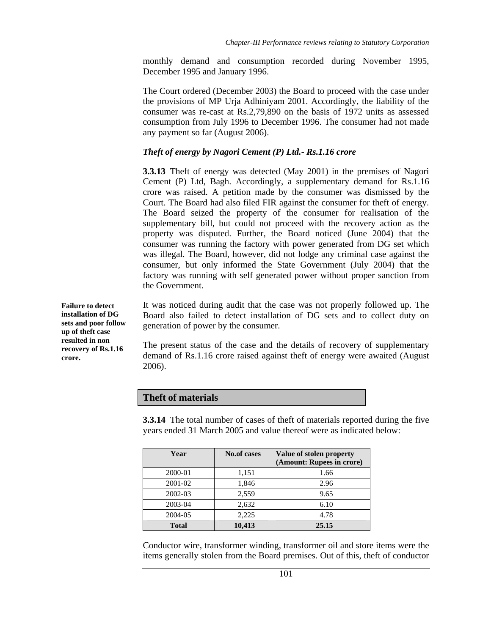monthly demand and consumption recorded during November 1995, December 1995 and January 1996.

The Court ordered (December 2003) the Board to proceed with the case under the provisions of MP Urja Adhiniyam 2001. Accordingly, the liability of the consumer was re-cast at Rs.2,79,890 on the basis of 1972 units as assessed consumption from July 1996 to December 1996. The consumer had not made any payment so far (August 2006).

## *Theft of energy by Nagori Cement (P) Ltd.- Rs.1.16 crore*

**3.3.13** Theft of energy was detected (May 2001) in the premises of Nagori Cement (P) Ltd, Bagh. Accordingly, a supplementary demand for Rs.1.16 crore was raised. A petition made by the consumer was dismissed by the Court. The Board had also filed FIR against the consumer for theft of energy. The Board seized the property of the consumer for realisation of the supplementary bill, but could not proceed with the recovery action as the property was disputed. Further, the Board noticed (June 2004) that the consumer was running the factory with power generated from DG set which was illegal. The Board, however, did not lodge any criminal case against the consumer, but only informed the State Government (July 2004) that the factory was running with self generated power without proper sanction from the Government.

It was noticed during audit that the case was not properly followed up. The Board also failed to detect installation of DG sets and to collect duty on generation of power by the consumer.

The present status of the case and the details of recovery of supplementary demand of Rs.1.16 crore raised against theft of energy were awaited (August 2006).

### **Theft of materials**

**3.3.14** The total number of cases of theft of materials reported during the five years ended 31 March 2005 and value thereof were as indicated below:

| Year         | <b>No.of cases</b> | Value of stolen property<br>(Amount: Rupees in crore) |
|--------------|--------------------|-------------------------------------------------------|
| 2000-01      | 1,151              | 1.66                                                  |
| 2001-02      | 1,846              | 2.96                                                  |
| 2002-03      | 2,559              | 9.65                                                  |
| 2003-04      | 2,632              | 6.10                                                  |
| 2004-05      | 2,225              | 4.78                                                  |
| <b>Total</b> | 10,413             | 25.15                                                 |

Conductor wire, transformer winding, transformer oil and store items were the items generally stolen from the Board premises. Out of this, theft of conductor

**Failure to detect installation of DG sets and poor follow up of theft case resulted in non recovery of Rs.1.16 crore.**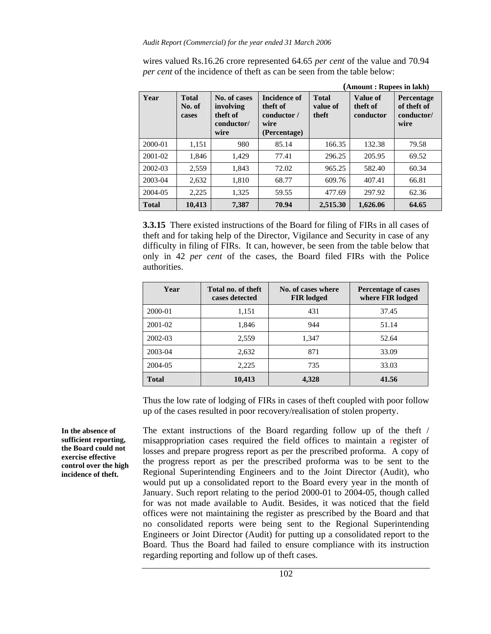wires valued Rs.16.26 crore represented 64.65 *per cent* of the value and 70.94 *per cent* of the incidence of theft as can be seen from the table below:

|              |                                 |                                                             |                                                                        | (Amount: Rupees in lakh)          |                                   |                                                 |  |
|--------------|---------------------------------|-------------------------------------------------------------|------------------------------------------------------------------------|-----------------------------------|-----------------------------------|-------------------------------------------------|--|
| Year         | <b>Total</b><br>No. of<br>cases | No. of cases<br>involving<br>theft of<br>conductor/<br>wire | <b>Incidence of</b><br>theft of<br>conductor /<br>wire<br>(Percentage) | <b>Total</b><br>value of<br>theft | Value of<br>theft of<br>conductor | Percentage<br>of theft of<br>conductor/<br>wire |  |
| 2000-01      | 1,151                           | 980                                                         | 85.14                                                                  | 166.35                            | 132.38                            | 79.58                                           |  |
| $2001 - 02$  | 1,846                           | 1.429                                                       | 77.41                                                                  | 296.25                            | 205.95                            | 69.52                                           |  |
| $2002 - 03$  | 2.559                           | 1,843                                                       | 72.02                                                                  | 965.25                            | 582.40                            | 60.34                                           |  |
| 2003-04      | 2.632                           | 1,810                                                       | 68.77                                                                  | 609.76                            | 407.41                            | 66.81                                           |  |
| 2004-05      | 2,225                           | 1,325                                                       | 59.55                                                                  | 477.69                            | 297.92                            | 62.36                                           |  |
| <b>Total</b> | 10,413                          | 7.387                                                       | 70.94                                                                  | 2,515.30                          | 1,626.06                          | 64.65                                           |  |

**3.3.15** There existed instructions of the Board for filing of FIRs in all cases of theft and for taking help of the Director, Vigilance and Security in case of any difficulty in filing of FIRs. It can, however, be seen from the table below that only in 42 *per cent* of the cases, the Board filed FIRs with the Police authorities.

| Year         | Total no. of theft<br>cases detected | No. of cases where<br><b>FIR</b> lodged | <b>Percentage of cases</b><br>where FIR lodged |  |
|--------------|--------------------------------------|-----------------------------------------|------------------------------------------------|--|
| 2000-01      | 1,151                                | 431                                     | 37.45                                          |  |
| 2001-02      | 1,846                                | 944                                     | 51.14                                          |  |
| 2002-03      | 2,559                                | 1,347                                   | 52.64                                          |  |
| 2003-04      | 2,632                                | 871                                     | 33.09                                          |  |
| 2004-05      | 2,225                                | 735                                     | 33.03                                          |  |
| <b>Total</b> | 10,413                               | 4,328                                   | 41.56                                          |  |

Thus the low rate of lodging of FIRs in cases of theft coupled with poor follow up of the cases resulted in poor recovery/realisation of stolen property.

The extant instructions of the Board regarding follow up of the theft / misappropriation cases required the field offices to maintain a register of losses and prepare progress report as per the prescribed proforma. A copy of the progress report as per the prescribed proforma was to be sent to the Regional Superintending Engineers and to the Joint Director (Audit), who would put up a consolidated report to the Board every year in the month of January. Such report relating to the period 2000-01 to 2004-05, though called for was not made available to Audit. Besides, it was noticed that the field offices were not maintaining the register as prescribed by the Board and that no consolidated reports were being sent to the Regional Superintending Engineers or Joint Director (Audit) for putting up a consolidated report to the Board. Thus the Board had failed to ensure compliance with its instruction regarding reporting and follow up of theft cases.

**In the absence of sufficient reporting, the Board could not exercise effective control over the high incidence of theft.**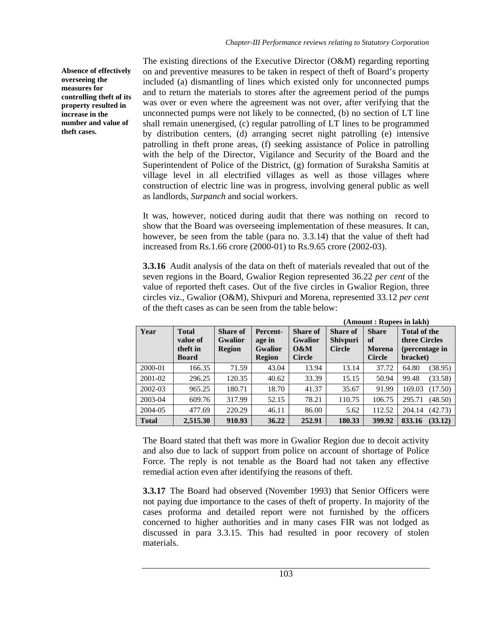**Absence of effectively overseeing the measures for controlling theft of its property resulted in increase in the number and value of theft cases.** 

The existing directions of the Executive Director (O&M) regarding reporting on and preventive measures to be taken in respect of theft of Board's property included (a) dismantling of lines which existed only for unconnected pumps and to return the materials to stores after the agreement period of the pumps was over or even where the agreement was not over, after verifying that the unconnected pumps were not likely to be connected, (b) no section of LT line shall remain unenergised, (c) regular patrolling of LT lines to be programmed by distribution centers, (d) arranging secret night patrolling (e) intensive patrolling in theft prone areas, (f) seeking assistance of Police in patrolling with the help of the Director, Vigilance and Security of the Board and the Superintendent of Police of the District, (g) formation of Suraksha Samitis at village level in all electrified villages as well as those villages where construction of electric line was in progress, involving general public as well as landlords, *Surpanch* and social workers.

It was, however, noticed during audit that there was nothing on record to show that the Board was overseeing implementation of these measures. It can, however, be seen from the table (para no. 3.3.14) that the value of the ft had increased from Rs.1.66 crore (2000-01) to Rs.9.65 crore (2002-03).

**3.3.16** Audit analysis of the data on theft of materials revealed that out of the seven regions in the Board, Gwalior Region represented 36.22 *per cent* of the value of reported theft cases. Out of the five circles in Gwalior Region, three circles viz., Gwalior (O&M), Shivpuri and Morena, represented 33.12 *per cent* of the theft cases as can be seen from the table below:

|              |                                                      |                                             |                                                       |                                                           | (Amount: Rupees in lakh)                            |                                                      |                                                                    |  |
|--------------|------------------------------------------------------|---------------------------------------------|-------------------------------------------------------|-----------------------------------------------------------|-----------------------------------------------------|------------------------------------------------------|--------------------------------------------------------------------|--|
| Year         | <b>Total</b><br>value of<br>theft in<br><b>Board</b> | Share of<br><b>Gwalior</b><br><b>Region</b> | Percent-<br>age in<br><b>Gwalior</b><br><b>Region</b> | <b>Share of</b><br><b>Gwalior</b><br>0&M<br><b>Circle</b> | <b>Share of</b><br><b>Shivpuri</b><br><b>Circle</b> | <b>Share</b><br>оf<br><b>Morena</b><br><b>Circle</b> | <b>Total of the</b><br>three Circles<br>(percentage in<br>bracket) |  |
| 2000-01      | 166.35                                               | 71.59                                       | 43.04                                                 | 13.94                                                     | 13.14                                               | 37.72                                                | 64.80<br>(38.95)                                                   |  |
| 2001-02      | 296.25                                               | 120.35                                      | 40.62                                                 | 33.39                                                     | 15.15                                               | 50.94                                                | 99.48<br>(33.58)                                                   |  |
| 2002-03      | 965.25                                               | 180.71                                      | 18.70                                                 | 41.37                                                     | 35.67                                               | 91.99                                                | (17.50)<br>169.03                                                  |  |
| 2003-04      | 609.76                                               | 317.99                                      | 52.15                                                 | 78.21                                                     | 110.75                                              | 106.75                                               | 295.71<br>(48.50)                                                  |  |
| 2004-05      | 477.69                                               | 220.29                                      | 46.11                                                 | 86.00                                                     | 5.62                                                | 112.52                                               | (42.73)<br>204.14                                                  |  |
| <b>Total</b> | 2,515.30                                             | 910.93                                      | 36.22                                                 | 252.91                                                    | 180.33                                              | 399.92                                               | 833.16<br>(33.12)                                                  |  |

The Board stated that theft was more in Gwalior Region due to decoit activity and also due to lack of support from police on account of shortage of Police Force. The reply is not tenable as the Board had not taken any effective remedial action even after identifying the reasons of theft.

**3.3.17** The Board had observed (November 1993) that Senior Officers were not paying due importance to the cases of theft of property. In majority of the cases proforma and detailed report were not furnished by the officers concerned to higher authorities and in many cases FIR was not lodged as discussed in para 3.3.15. This had resulted in poor recovery of stolen materials.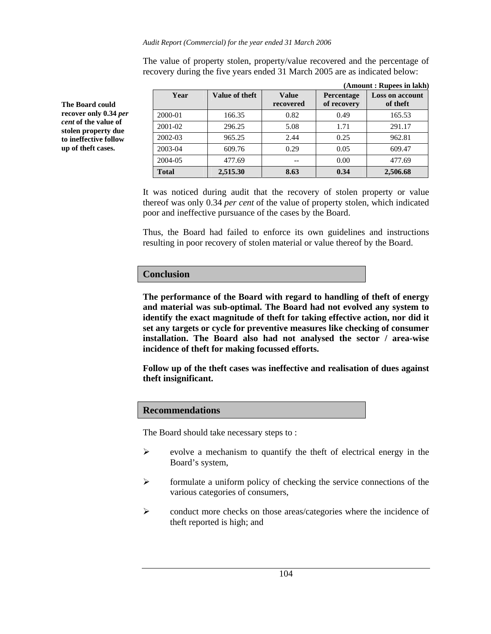*Audit Report (Commercial) for the year ended 31 March 2006* 

**(Amount : Rupees in lakh) Year** | **Value of theft** | **Value recovered Percentage of recovery Loss on account of theft**  2000-01 166.35 0.82 0.49 165.53 2001-02 | 296.25 | 5.08 | 1.71 | 291.17 2002-03 965.25 2.44 0.25 962.81 2003-04 609.76 0.29 0.05 609.47 2004-05 477.69 -- 0.00 477.69 **Total 2,515.30 8.63 0.34 2,506.68** 

The value of property stolen, property/value recovered and the percentage of recovery during the five years ended 31 March 2005 are as indicated below:

It was noticed during audit that the recovery of stolen property or value thereof was only 0.34 *per cent* of the value of property stolen, which indicated poor and ineffective pursuance of the cases by the Board.

Thus, the Board had failed to enforce its own guidelines and instructions resulting in poor recovery of stolen material or value thereof by the Board.

# **Conclusion**

**The performance of the Board with regard to handling of theft of energy and material was sub-optimal. The Board had not evolved any system to identify the exact magnitude of theft for taking effective action, nor did it set any targets or cycle for preventive measures like checking of consumer installation. The Board also had not analysed the sector / area-wise incidence of theft for making focussed efforts.** 

**Follow up of the theft cases was ineffective and realisation of dues against theft insignificant.** 

# **Recommendations**

The Board should take necessary steps to :

- $\triangleright$  evolve a mechanism to quantify the theft of electrical energy in the Board's system,
- $\triangleright$  formulate a uniform policy of checking the service connections of the various categories of consumers,
- $\triangleright$  conduct more checks on those areas/categories where the incidence of theft reported is high; and

**The Board could recover only 0.34** *per cent* **of the value of stolen property due to ineffective follow up of theft cases.**